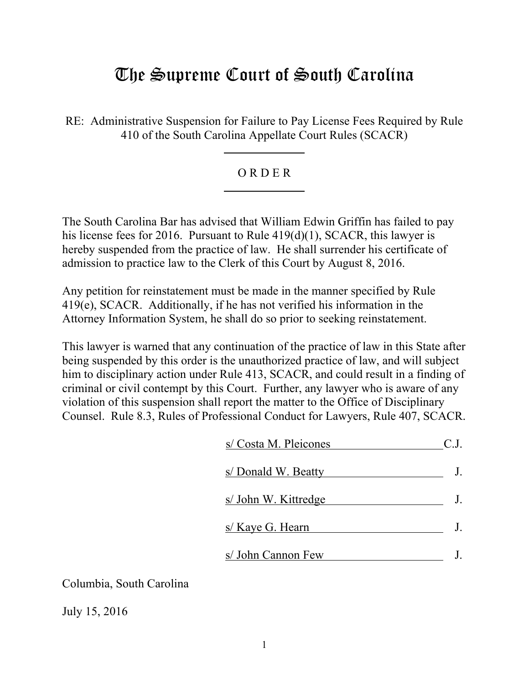# The Supreme Court of South Carolina

RE: Administrative Suspension for Failure to Pay License Fees Required by Rule 410 of the South Carolina Appellate Court Rules (SCACR)

# O R D E R

The South Carolina Bar has advised that William Edwin Griffin has failed to pay his license fees for 2016. Pursuant to Rule 419(d)(1), SCACR, this lawyer is hereby suspended from the practice of law. He shall surrender his certificate of admission to practice law to the Clerk of this Court by August 8, 2016.

Any petition for reinstatement must be made in the manner specified by Rule 419(e), SCACR. Additionally, if he has not verified his information in the Attorney Information System, he shall do so prior to seeking reinstatement.

This lawyer is warned that any continuation of the practice of law in this State after being suspended by this order is the unauthorized practice of law, and will subject him to disciplinary action under Rule 413, SCACR, and could result in a finding of criminal or civil contempt by this Court. Further, any lawyer who is aware of any violation of this suspension shall report the matter to the Office of Disciplinary Counsel. Rule 8.3, Rules of Professional Conduct for Lawyers, Rule 407, SCACR.

| s/ Costa M. Pleicones   |    |
|-------------------------|----|
| s/ Donald W. Beatty     |    |
| s/ John W. Kittredge    | J. |
| s/ <u>Kaye G. Hearn</u> | J. |
| s/ John Cannon Few      |    |

Columbia, South Carolina

July 15, 2016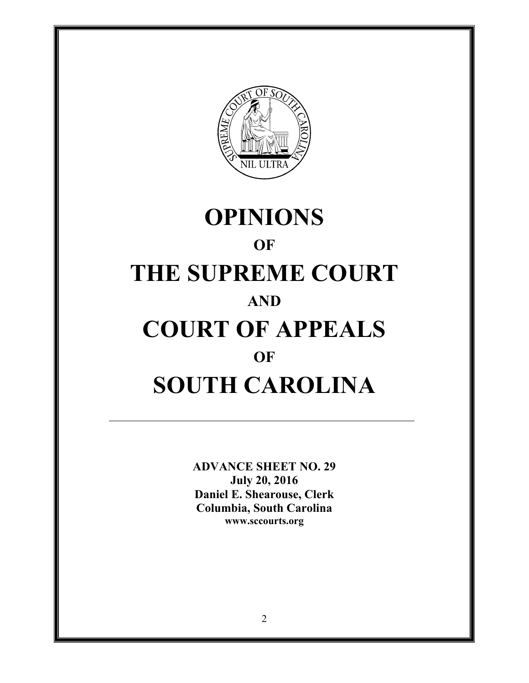

# **OPINIONS OF THE SUPREME COURT AND COURT OF APPEALS OF SOUTH CAROLINA**

**ADVANCE SHEET NO. 29 July 20, 2016 Daniel E. Shearouse, Clerk Columbia, South Carolina www.sccourts.org**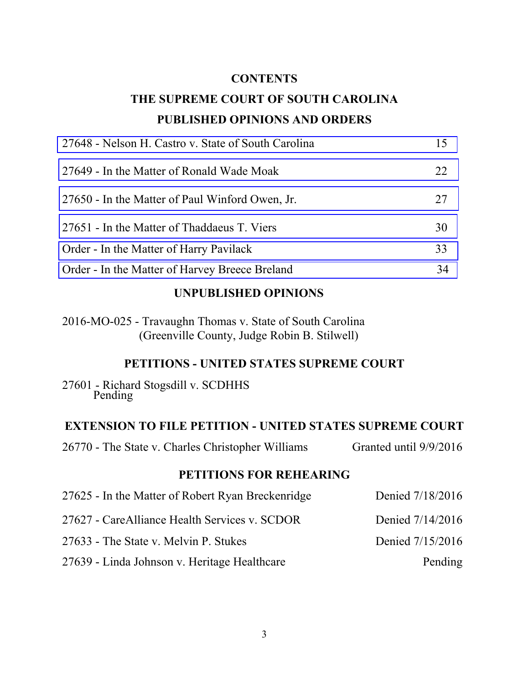#### **CONTENTS**

# **THE SUPREME COURT OF SOUTH CAROLINA PUBLISHED OPINIONS AND ORDERS**

| 15 |
|----|
| 22 |
| 27 |
| 30 |
| 33 |
| 34 |
|    |

#### **UNPUBLISHED OPINIONS**

2016-MO-025 - Travaughn Thomas v. State of South Carolina (Greenville County, Judge Robin B. Stilwell)

#### **PETITIONS - UNITED STATES SUPREME COURT**

27601 - Richard Stogsdill v. SCDHHS Pending

## **EXTENSION TO FILE PETITION - UNITED STATES SUPREME COURT**

26770 - The State v. Charles Christopher Williams Granted until 9/9/2016

# **PETITIONS FOR REHEARING**

| 27625 - In the Matter of Robert Ryan Breckenridge | Denied 7/18/2016 |
|---------------------------------------------------|------------------|
| 27627 - CareAlliance Health Services v. SCDOR     | Denied 7/14/2016 |
| 27633 - The State v. Melvin P. Stukes             | Denied 7/15/2016 |
| 27639 - Linda Johnson v. Heritage Healthcare      | Pending          |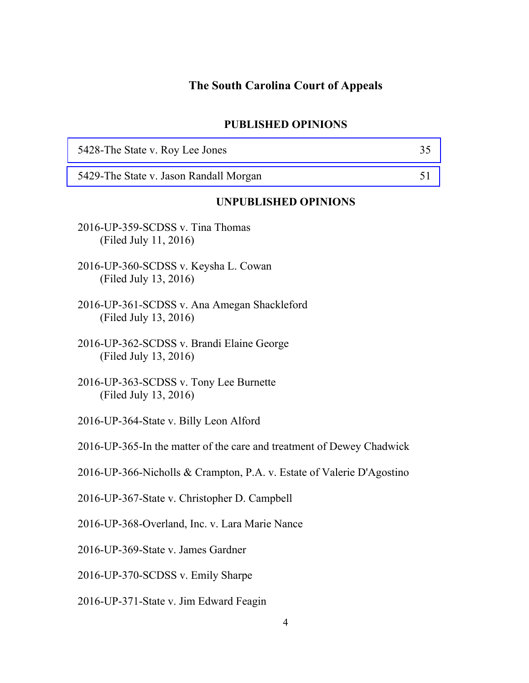# **The South Carolina Court of Appeals**

#### **PUBLISHED OPINIONS**

| 5428-The State v. Roy Lee Jones                                      | 35 |
|----------------------------------------------------------------------|----|
| 5429-The State v. Jason Randall Morgan                               | 51 |
| <b>UNPUBLISHED OPINIONS</b>                                          |    |
| 2016-UP-359-SCDSS v. Tina Thomas<br>(Filed July 11, 2016)            |    |
| 2016-UP-360-SCDSS v. Keysha L. Cowan<br>(Filed July 13, 2016)        |    |
| 2016-UP-361-SCDSS v. Ana Amegan Shackleford<br>(Filed July 13, 2016) |    |
| 2016-UP-362-SCDSS v. Brandi Elaine George<br>(Filed July 13, 2016)   |    |
| 2016-UP-363-SCDSS v. Tony Lee Burnette<br>(Filed July 13, 2016)      |    |
| 2016-UP-364-State v. Billy Leon Alford                               |    |
|                                                                      |    |

2016-UP-365-In the matter of the care and treatment of Dewey Chadwick

2016-UP-366-Nicholls & Crampton, P.A. v. Estate of Valerie D'Agostino

2016-UP-367-State v. Christopher D. Campbell

2016-UP-368-Overland, Inc. v. Lara Marie Nance

2016-UP-369-State v. James Gardner

2016-UP-370-SCDSS v. Emily Sharpe

2016-UP-371-State v. Jim Edward Feagin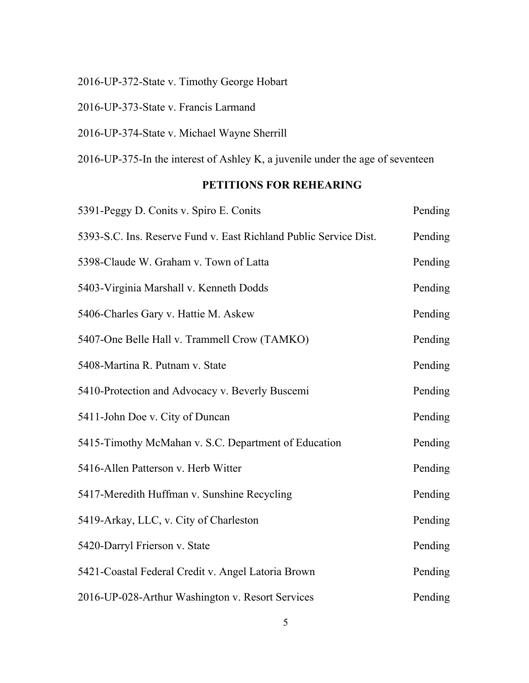2016-UP-372-State v. Timothy George Hobart

2016-UP-373-State v. Francis Larmand

2016-UP-374-State v. Michael Wayne Sherrill

2016-UP-375-In the interest of Ashley K, a juvenile under the age of seventeen

# **PETITIONS FOR REHEARING**

| 5391-Peggy D. Conits v. Spiro E. Conits                           | Pending |
|-------------------------------------------------------------------|---------|
| 5393-S.C. Ins. Reserve Fund v. East Richland Public Service Dist. | Pending |
| 5398-Claude W. Graham v. Town of Latta                            | Pending |
| 5403-Virginia Marshall v. Kenneth Dodds                           | Pending |
| 5406-Charles Gary v. Hattie M. Askew                              | Pending |
| 5407-One Belle Hall v. Trammell Crow (TAMKO)                      | Pending |
| 5408-Martina R. Putnam v. State                                   | Pending |
| 5410-Protection and Advocacy v. Beverly Buscemi                   | Pending |
| 5411-John Doe v. City of Duncan                                   | Pending |
| 5415-Timothy McMahan v. S.C. Department of Education              | Pending |
| 5416-Allen Patterson v. Herb Witter                               | Pending |
| 5417-Meredith Huffman v. Sunshine Recycling                       | Pending |
| 5419-Arkay, LLC, v. City of Charleston                            | Pending |
| 5420-Darryl Frierson v. State                                     | Pending |
| 5421-Coastal Federal Credit v. Angel Latoria Brown                | Pending |
| 2016-UP-028-Arthur Washington v. Resort Services                  | Pending |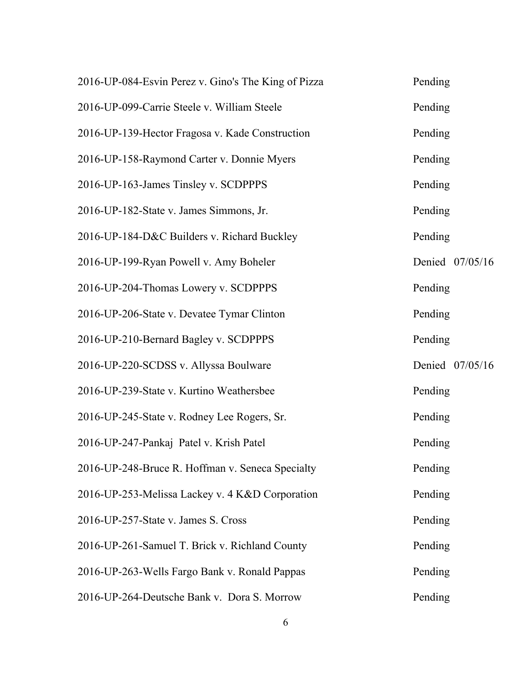| 2016-UP-084-Esvin Perez v. Gino's The King of Pizza | Pending         |
|-----------------------------------------------------|-----------------|
| 2016-UP-099-Carrie Steele v. William Steele         | Pending         |
| 2016-UP-139-Hector Fragosa v. Kade Construction     | Pending         |
| 2016-UP-158-Raymond Carter v. Donnie Myers          | Pending         |
| 2016-UP-163-James Tinsley v. SCDPPPS                | Pending         |
| 2016-UP-182-State v. James Simmons, Jr.             | Pending         |
| 2016-UP-184-D&C Builders v. Richard Buckley         | Pending         |
| 2016-UP-199-Ryan Powell v. Amy Boheler              | Denied 07/05/16 |
| 2016-UP-204-Thomas Lowery v. SCDPPPS                | Pending         |
| 2016-UP-206-State v. Devatee Tymar Clinton          | Pending         |
| 2016-UP-210-Bernard Bagley v. SCDPPPS               | Pending         |
| 2016-UP-220-SCDSS v. Allyssa Boulware               | Denied 07/05/16 |
| 2016-UP-239-State v. Kurtino Weathersbee            | Pending         |
| 2016-UP-245-State v. Rodney Lee Rogers, Sr.         | Pending         |
| 2016-UP-247-Pankaj Patel v. Krish Patel             | Pending         |
| 2016-UP-248-Bruce R. Hoffman v. Seneca Specialty    | Pending         |
| 2016-UP-253-Melissa Lackey v. 4 K&D Corporation     | Pending         |
| 2016-UP-257-State v. James S. Cross                 | Pending         |
| 2016-UP-261-Samuel T. Brick v. Richland County      | Pending         |
| 2016-UP-263-Wells Fargo Bank v. Ronald Pappas       | Pending         |
| 2016-UP-264-Deutsche Bank v. Dora S. Morrow         | Pending         |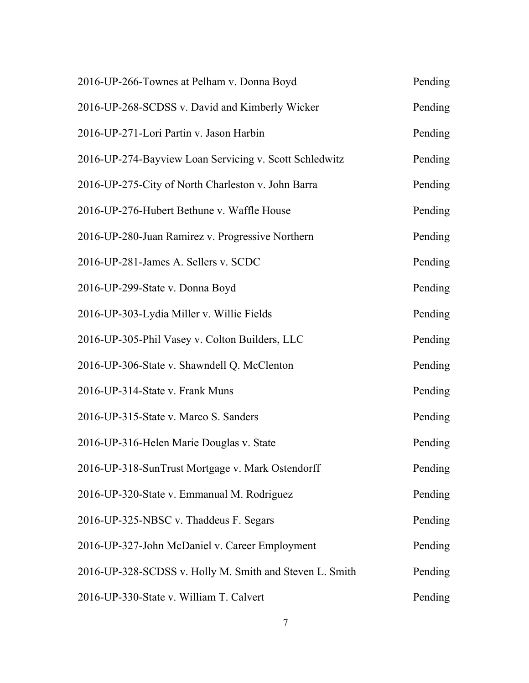| 2016-UP-266-Townes at Pelham v. Donna Boyd              | Pending |
|---------------------------------------------------------|---------|
| 2016-UP-268-SCDSS v. David and Kimberly Wicker          | Pending |
| 2016-UP-271-Lori Partin v. Jason Harbin                 | Pending |
| 2016-UP-274-Bayview Loan Servicing v. Scott Schledwitz  | Pending |
| 2016-UP-275-City of North Charleston v. John Barra      | Pending |
| 2016-UP-276-Hubert Bethune v. Waffle House              | Pending |
| 2016-UP-280-Juan Ramirez v. Progressive Northern        | Pending |
| 2016-UP-281-James A. Sellers v. SCDC                    | Pending |
| 2016-UP-299-State v. Donna Boyd                         | Pending |
| 2016-UP-303-Lydia Miller v. Willie Fields               | Pending |
| 2016-UP-305-Phil Vasey v. Colton Builders, LLC          | Pending |
| 2016-UP-306-State v. Shawndell Q. McClenton             | Pending |
| 2016-UP-314-State v. Frank Muns                         | Pending |
| 2016-UP-315-State v. Marco S. Sanders                   | Pending |
| 2016-UP-316-Helen Marie Douglas v. State                | Pending |
| 2016-UP-318-SunTrust Mortgage v. Mark Ostendorff        | Pending |
| 2016-UP-320-State v. Emmanual M. Rodriguez              | Pending |
| 2016-UP-325-NBSC v. Thaddeus F. Segars                  | Pending |
| 2016-UP-327-John McDaniel v. Career Employment          | Pending |
| 2016-UP-328-SCDSS v. Holly M. Smith and Steven L. Smith | Pending |
| 2016-UP-330-State v. William T. Calvert                 | Pending |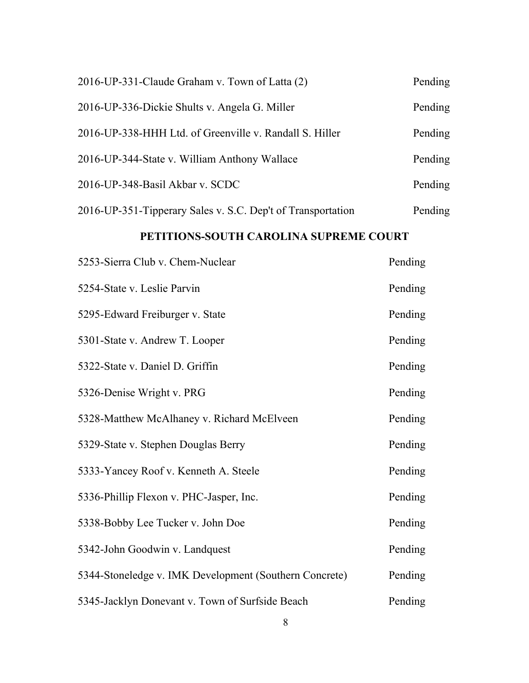| 2016-UP-331-Claude Graham v. Town of Latta (2)              | Pending |
|-------------------------------------------------------------|---------|
| 2016-UP-336-Dickie Shults v. Angela G. Miller               | Pending |
| 2016-UP-338-HHH Ltd. of Greenville v. Randall S. Hiller     | Pending |
| 2016-UP-344-State v. William Anthony Wallace                | Pending |
| 2016-UP-348-Basil Akbar v. SCDC                             | Pending |
| 2016-UP-351-Tipperary Sales v. S.C. Dep't of Transportation | Pending |

# **PETITIONS-SOUTH CAROLINA SUPREME COURT**

| 5253-Sierra Club v. Chem-Nuclear                       | Pending |
|--------------------------------------------------------|---------|
| 5254-State v. Leslie Parvin                            | Pending |
| 5295-Edward Freiburger v. State                        | Pending |
| 5301-State v. Andrew T. Looper                         | Pending |
| 5322-State v. Daniel D. Griffin                        | Pending |
| 5326-Denise Wright v. PRG                              | Pending |
| 5328-Matthew McAlhaney v. Richard McElveen             | Pending |
| 5329-State v. Stephen Douglas Berry                    | Pending |
| 5333-Yancey Roof v. Kenneth A. Steele                  | Pending |
| 5336-Phillip Flexon v. PHC-Jasper, Inc.                | Pending |
| 5338-Bobby Lee Tucker v. John Doe                      | Pending |
| 5342-John Goodwin v. Landquest                         | Pending |
| 5344-Stoneledge v. IMK Development (Southern Concrete) | Pending |
| 5345-Jacklyn Donevant v. Town of Surfside Beach        | Pending |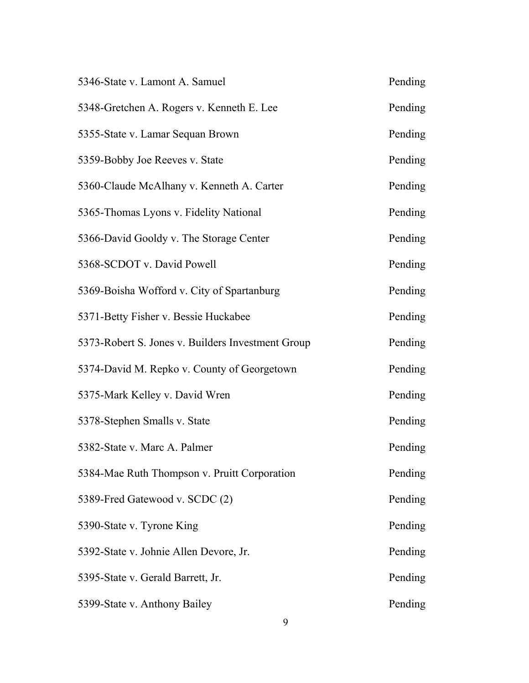| 5346-State v. Lamont A. Samuel                    | Pending |
|---------------------------------------------------|---------|
| 5348-Gretchen A. Rogers v. Kenneth E. Lee         | Pending |
| 5355-State v. Lamar Sequan Brown                  | Pending |
| 5359-Bobby Joe Reeves v. State                    | Pending |
| 5360-Claude McAlhany v. Kenneth A. Carter         | Pending |
| 5365-Thomas Lyons v. Fidelity National            | Pending |
| 5366-David Gooldy v. The Storage Center           | Pending |
| 5368-SCDOT v. David Powell                        | Pending |
| 5369-Boisha Wofford v. City of Spartanburg        | Pending |
| 5371-Betty Fisher v. Bessie Huckabee              | Pending |
| 5373-Robert S. Jones v. Builders Investment Group | Pending |
| 5374-David M. Repko v. County of Georgetown       | Pending |
| 5375-Mark Kelley v. David Wren                    | Pending |
| 5378-Stephen Smalls v. State                      | Pending |
| 5382-State v. Marc A. Palmer                      | Pending |
| 5384-Mae Ruth Thompson v. Pruitt Corporation      | Pending |
| 5389-Fred Gatewood v. SCDC (2)                    | Pending |
| 5390-State v. Tyrone King                         | Pending |
| 5392-State v. Johnie Allen Devore, Jr.            | Pending |
| 5395-State v. Gerald Barrett, Jr.                 | Pending |
| 5399-State v. Anthony Bailey                      | Pending |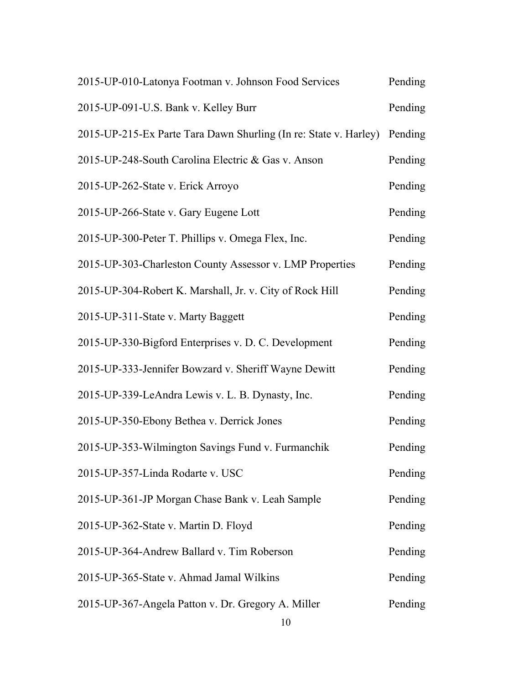| 2015-UP-010-Latonya Footman v. Johnson Food Services             | Pending |
|------------------------------------------------------------------|---------|
| 2015-UP-091-U.S. Bank v. Kelley Burr                             | Pending |
| 2015-UP-215-Ex Parte Tara Dawn Shurling (In re: State v. Harley) | Pending |
| 2015-UP-248-South Carolina Electric & Gas v. Anson               | Pending |
| 2015-UP-262-State v. Erick Arroyo                                | Pending |
| 2015-UP-266-State v. Gary Eugene Lott                            | Pending |
| 2015-UP-300-Peter T. Phillips v. Omega Flex, Inc.                | Pending |
| 2015-UP-303-Charleston County Assessor v. LMP Properties         | Pending |
| 2015-UP-304-Robert K. Marshall, Jr. v. City of Rock Hill         | Pending |
| 2015-UP-311-State v. Marty Baggett                               | Pending |
| 2015-UP-330-Bigford Enterprises v. D. C. Development             | Pending |
| 2015-UP-333-Jennifer Bowzard v. Sheriff Wayne Dewitt             | Pending |
| 2015-UP-339-LeAndra Lewis v. L. B. Dynasty, Inc.                 | Pending |
| 2015-UP-350-Ebony Bethea v. Derrick Jones                        | Pending |
| 2015-UP-353-Wilmington Savings Fund v. Furmanchik                | Pending |
| 2015-UP-357-Linda Rodarte v. USC                                 | Pending |
| 2015-UP-361-JP Morgan Chase Bank v. Leah Sample                  | Pending |
| 2015-UP-362-State v. Martin D. Floyd                             | Pending |
| 2015-UP-364-Andrew Ballard v. Tim Roberson                       | Pending |
| 2015-UP-365-State v. Ahmad Jamal Wilkins                         | Pending |
| 2015-UP-367-Angela Patton v. Dr. Gregory A. Miller<br>10         | Pending |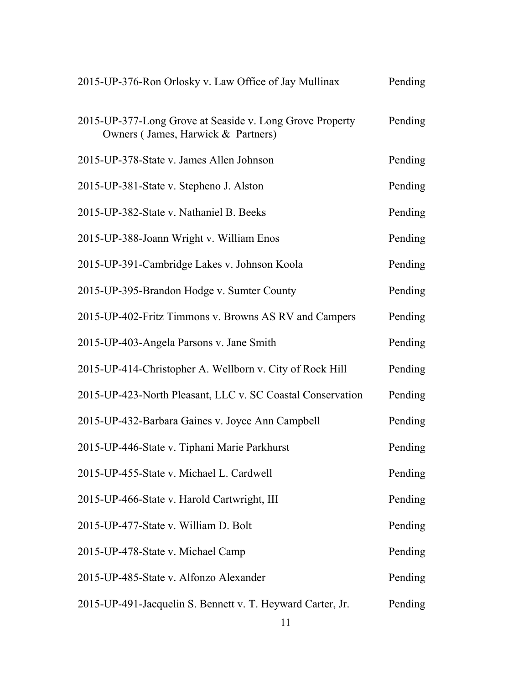| 2015-UP-376-Ron Orlosky v. Law Office of Jay Mullinax                                          | Pending |
|------------------------------------------------------------------------------------------------|---------|
| 2015-UP-377-Long Grove at Seaside v. Long Grove Property<br>Owners (James, Harwick & Partners) | Pending |
| 2015-UP-378-State v. James Allen Johnson                                                       | Pending |
| 2015-UP-381-State v. Stepheno J. Alston                                                        | Pending |
| 2015-UP-382-State v. Nathaniel B. Beeks                                                        | Pending |
| 2015-UP-388-Joann Wright v. William Enos                                                       | Pending |
| 2015-UP-391-Cambridge Lakes v. Johnson Koola                                                   | Pending |
| 2015-UP-395-Brandon Hodge v. Sumter County                                                     | Pending |
| 2015-UP-402-Fritz Timmons v. Browns AS RV and Campers                                          | Pending |
| 2015-UP-403-Angela Parsons v. Jane Smith                                                       | Pending |
| 2015-UP-414-Christopher A. Wellborn v. City of Rock Hill                                       | Pending |
| 2015-UP-423-North Pleasant, LLC v. SC Coastal Conservation                                     | Pending |
| 2015-UP-432-Barbara Gaines v. Joyce Ann Campbell                                               | Pending |
| 2015-UP-446-State v. Tiphani Marie Parkhurst                                                   | Pending |
| 2015-UP-455-State v. Michael L. Cardwell                                                       | Pending |
| 2015-UP-466-State v. Harold Cartwright, III                                                    | Pending |
| 2015-UP-477-State v. William D. Bolt                                                           | Pending |
| 2015-UP-478-State v. Michael Camp                                                              | Pending |
| 2015-UP-485-State v. Alfonzo Alexander                                                         | Pending |
| 2015-UP-491-Jacquelin S. Bennett v. T. Heyward Carter, Jr.<br>11                               | Pending |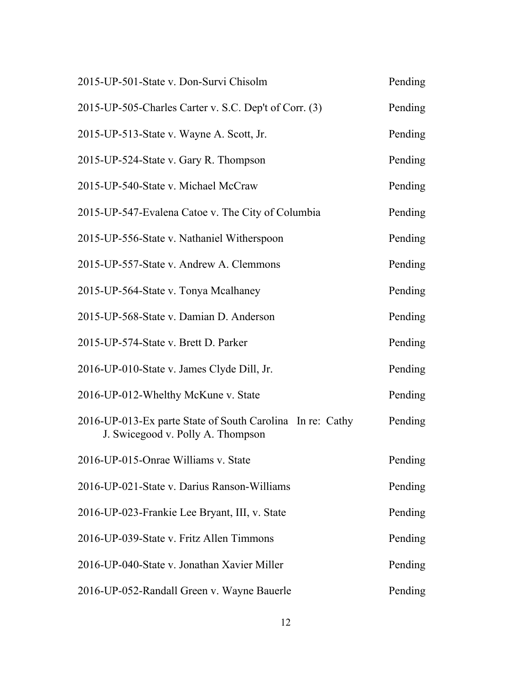| 2015-UP-501-State v. Don-Survi Chisolm                                                         | Pending |
|------------------------------------------------------------------------------------------------|---------|
| 2015-UP-505-Charles Carter v. S.C. Dep't of Corr. (3)                                          | Pending |
| 2015-UP-513-State v. Wayne A. Scott, Jr.                                                       | Pending |
| 2015-UP-524-State v. Gary R. Thompson                                                          | Pending |
| 2015-UP-540-State v. Michael McCraw                                                            | Pending |
| 2015-UP-547-Evalena Catoe v. The City of Columbia                                              | Pending |
| 2015-UP-556-State v. Nathaniel Witherspoon                                                     | Pending |
| 2015-UP-557-State v. Andrew A. Clemmons                                                        | Pending |
| 2015-UP-564-State v. Tonya Mcalhaney                                                           | Pending |
| 2015-UP-568-State v. Damian D. Anderson                                                        | Pending |
| 2015-UP-574-State v. Brett D. Parker                                                           | Pending |
| 2016-UP-010-State v. James Clyde Dill, Jr.                                                     | Pending |
| 2016-UP-012-Whelthy McKune v. State                                                            | Pending |
| 2016-UP-013-Ex parte State of South Carolina In re: Cathy<br>J. Swicegood v. Polly A. Thompson | Pending |
| 2016-UP-015-Onrae Williams v. State                                                            | Pending |
| 2016-UP-021-State v. Darius Ranson-Williams                                                    | Pending |
| 2016-UP-023-Frankie Lee Bryant, III, v. State                                                  | Pending |
| 2016-UP-039-State v. Fritz Allen Timmons                                                       | Pending |
| 2016-UP-040-State v. Jonathan Xavier Miller                                                    | Pending |
| 2016-UP-052-Randall Green v. Wayne Bauerle                                                     | Pending |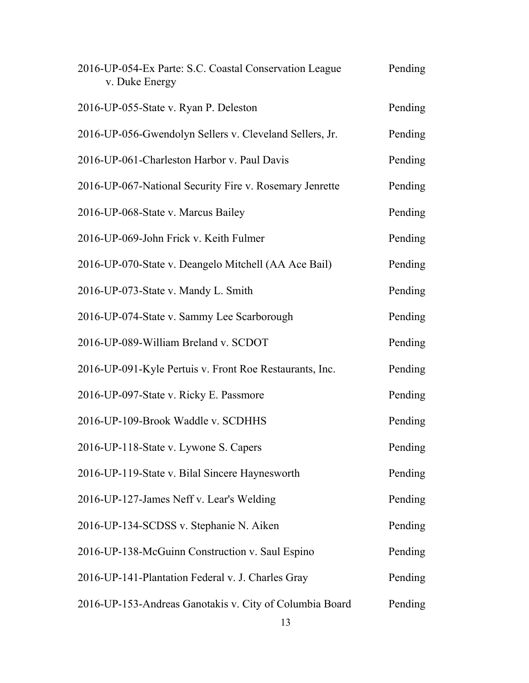| 2016-UP-054-Ex Parte: S.C. Coastal Conservation League<br>v. Duke Energy | Pending |
|--------------------------------------------------------------------------|---------|
| 2016-UP-055-State v. Ryan P. Deleston                                    | Pending |
| 2016-UP-056-Gwendolyn Sellers v. Cleveland Sellers, Jr.                  | Pending |
| 2016-UP-061-Charleston Harbor v. Paul Davis                              | Pending |
| 2016-UP-067-National Security Fire v. Rosemary Jenrette                  | Pending |
| 2016-UP-068-State v. Marcus Bailey                                       | Pending |
| 2016-UP-069-John Frick v. Keith Fulmer                                   | Pending |
| 2016-UP-070-State v. Deangelo Mitchell (AA Ace Bail)                     | Pending |
| 2016-UP-073-State v. Mandy L. Smith                                      | Pending |
| 2016-UP-074-State v. Sammy Lee Scarborough                               | Pending |
| 2016-UP-089-William Breland v. SCDOT                                     | Pending |
| 2016-UP-091-Kyle Pertuis v. Front Roe Restaurants, Inc.                  | Pending |
| 2016-UP-097-State v. Ricky E. Passmore                                   | Pending |
| 2016-UP-109-Brook Waddle v. SCDHHS                                       | Pending |
| 2016-UP-118-State v. Lywone S. Capers                                    | Pending |
| 2016-UP-119-State v. Bilal Sincere Haynesworth                           | Pending |
| 2016-UP-127-James Neff v. Lear's Welding                                 | Pending |
| 2016-UP-134-SCDSS v. Stephanie N. Aiken                                  | Pending |
| 2016-UP-138-McGuinn Construction v. Saul Espino                          | Pending |
| 2016-UP-141-Plantation Federal v. J. Charles Gray                        | Pending |
| 2016-UP-153-Andreas Ganotakis v. City of Columbia Board<br>13            | Pending |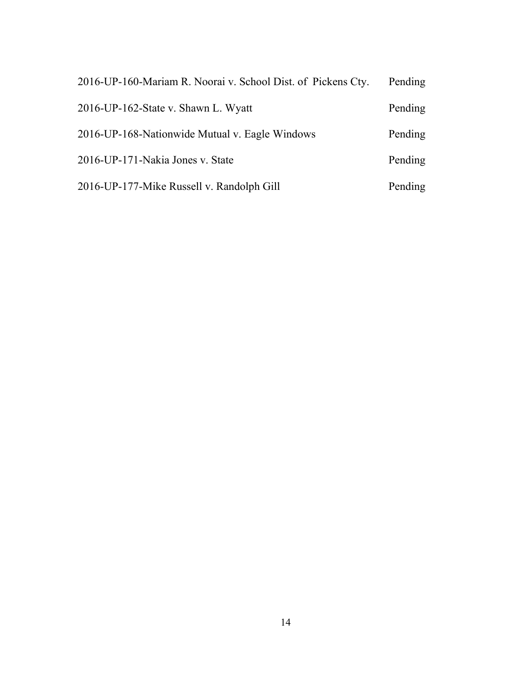| 2016-UP-160-Mariam R. Noorai v. School Dist. of Pickens Cty. | Pending |
|--------------------------------------------------------------|---------|
| 2016-UP-162-State v. Shawn L. Wyatt                          | Pending |
| 2016-UP-168-Nationwide Mutual v. Eagle Windows               | Pending |
| 2016-UP-171-Nakia Jones v. State                             | Pending |
| 2016-UP-177-Mike Russell v. Randolph Gill                    | Pending |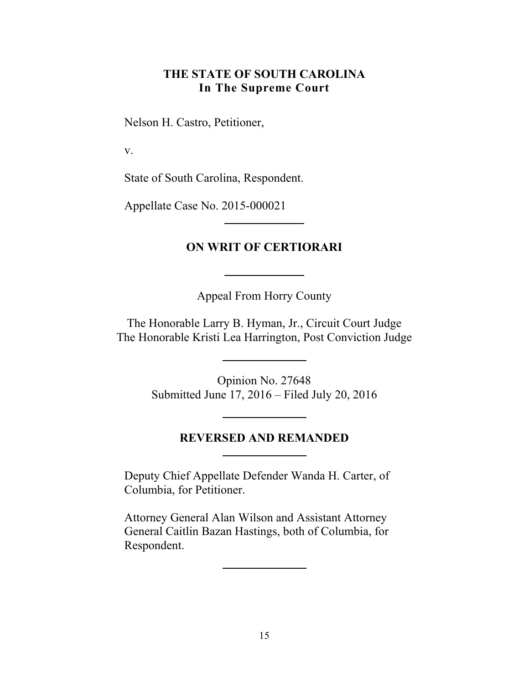# **THE STATE OF SOUTH CAROLINA In The Supreme Court**

<span id="page-14-0"></span>Nelson H. Castro, Petitioner,

v.

State of South Carolina, Respondent.

Appellate Case No. 2015-000021

# **ON WRIT OF CERTIORARI**

Appeal From Horry County

The Honorable Larry B. Hyman, Jr., Circuit Court Judge The Honorable Kristi Lea Harrington, Post Conviction Judge

> Opinion No. 27648 Submitted June 17, 2016 – Filed July 20, 2016

#### **REVERSED AND REMANDED**

Deputy Chief Appellate Defender Wanda H. Carter, of Columbia, for Petitioner.

Attorney General Alan Wilson and Assistant Attorney General Caitlin Bazan Hastings, both of Columbia, for Respondent.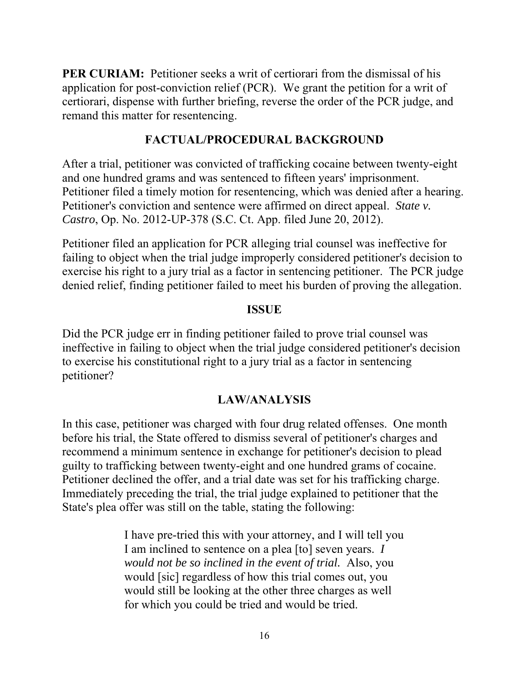remand this matter for resentencing. **PER CURIAM:** Petitioner seeks a writ of certiorari from the dismissal of his application for post-conviction relief (PCR). We grant the petition for a writ of certiorari, dispense with further briefing, reverse the order of the PCR judge, and

# **FACTUAL/PROCEDURAL BACKGROUND**

After a trial, petitioner was convicted of trafficking cocaine between twenty-eight and one hundred grams and was sentenced to fifteen years' imprisonment. Petitioner filed a timely motion for resentencing, which was denied after a hearing. Petitioner's conviction and sentence were affirmed on direct appeal. *State v. Castro*, Op. No. 2012-UP-378 (S.C. Ct. App. filed June 20, 2012).

Petitioner filed an application for PCR alleging trial counsel was ineffective for failing to object when the trial judge improperly considered petitioner's decision to exercise his right to a jury trial as a factor in sentencing petitioner. The PCR judge denied relief, finding petitioner failed to meet his burden of proving the allegation.

# **ISSUE**

Did the PCR judge err in finding petitioner failed to prove trial counsel was ineffective in failing to object when the trial judge considered petitioner's decision to exercise his constitutional right to a jury trial as a factor in sentencing petitioner?

# **LAW/ANALYSIS**

In this case, petitioner was charged with four drug related offenses. One month before his trial, the State offered to dismiss several of petitioner's charges and recommend a minimum sentence in exchange for petitioner's decision to plead guilty to trafficking between twenty-eight and one hundred grams of cocaine. Petitioner declined the offer, and a trial date was set for his trafficking charge. Immediately preceding the trial, the trial judge explained to petitioner that the State's plea offer was still on the table, stating the following:

> I have pre-tried this with your attorney, and I will tell you I am inclined to sentence on a plea [to] seven years. *I would not be so inclined in the event of trial.* Also, you would [sic] regardless of how this trial comes out, you would still be looking at the other three charges as well for which you could be tried and would be tried.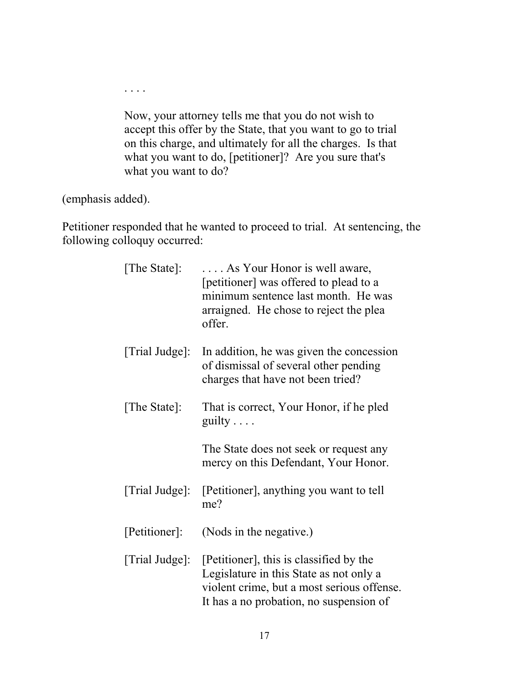Now, your attorney tells me that you do not wish to accept this offer by the State, that you want to go to trial on this charge, and ultimately for all the charges. Is that what you want to do, [petitioner]? Are you sure that's what you want to do?

(emphasis added).

. . . .

Petitioner responded that he wanted to proceed to trial. At sentencing, the following colloquy occurred:

| [The State]:   | As Your Honor is well aware,<br>[petitioner] was offered to plead to a<br>minimum sentence last month. He was<br>arraigned. He chose to reject the plea<br>offer.           |
|----------------|-----------------------------------------------------------------------------------------------------------------------------------------------------------------------------|
| [Trial Judge]: | In addition, he was given the concession<br>of dismissal of several other pending<br>charges that have not been tried?                                                      |
| [The State]:   | That is correct, Your Honor, if he pled<br>guilty $\ldots$                                                                                                                  |
|                | The State does not seek or request any<br>mercy on this Defendant, Your Honor.                                                                                              |
| [Trial Judge]: | [Petitioner], anything you want to tell<br>me?                                                                                                                              |
| [Petitioner]:  | (Nods in the negative.)                                                                                                                                                     |
| [Trial Judge]: | [Petitioner], this is classified by the<br>Legislature in this State as not only a<br>violent crime, but a most serious offense.<br>It has a no probation, no suspension of |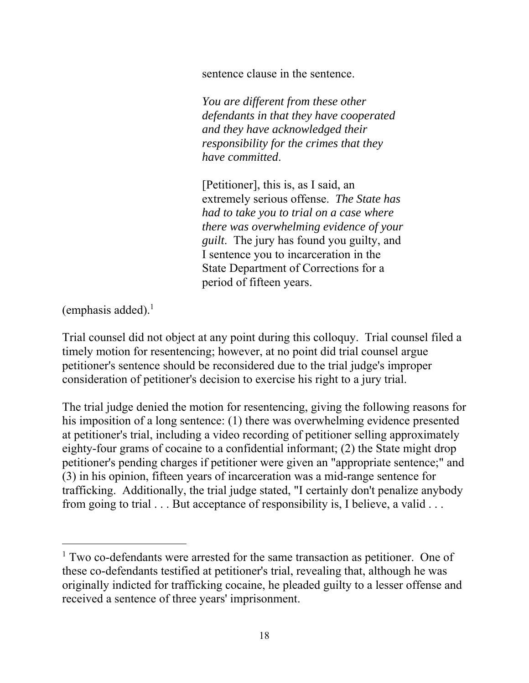sentence clause in the sentence.

*You are different from these other defendants in that they have cooperated and they have acknowledged their responsibility for the crimes that they have committed*.

[Petitioner], this is, as I said, an extremely serious offense. *The State has had to take you to trial on a case where there was overwhelming evidence of your guilt*. The jury has found you guilty, and I sentence you to incarceration in the State Department of Corrections for a period of fifteen years.

(emphasis added). $<sup>1</sup>$ </sup>

 $\overline{a}$ 

Trial counsel did not object at any point during this colloquy. Trial counsel filed a timely motion for resentencing; however, at no point did trial counsel argue petitioner's sentence should be reconsidered due to the trial judge's improper consideration of petitioner's decision to exercise his right to a jury trial.

The trial judge denied the motion for resentencing, giving the following reasons for his imposition of a long sentence: (1) there was overwhelming evidence presented at petitioner's trial, including a video recording of petitioner selling approximately eighty-four grams of cocaine to a confidential informant; (2) the State might drop petitioner's pending charges if petitioner were given an "appropriate sentence;" and (3) in his opinion, fifteen years of incarceration was a mid-range sentence for trafficking. Additionally, the trial judge stated, "I certainly don't penalize anybody from going to trial . . . But acceptance of responsibility is, I believe, a valid . . .

<sup>&</sup>lt;sup>1</sup> Two co-defendants were arrested for the same transaction as petitioner. One of these co-defendants testified at petitioner's trial, revealing that, although he was originally indicted for trafficking cocaine, he pleaded guilty to a lesser offense and received a sentence of three years' imprisonment.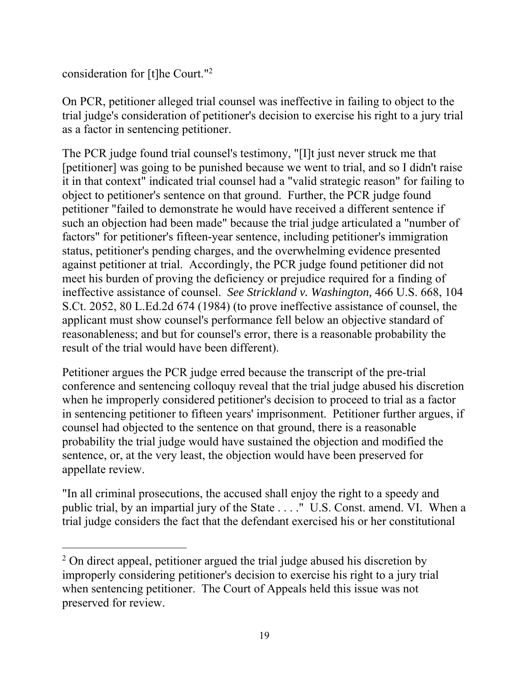consideration for [t]he Court."2

 $\overline{a}$ 

On PCR, petitioner alleged trial counsel was ineffective in failing to object to the trial judge's consideration of petitioner's decision to exercise his right to a jury trial as a factor in sentencing petitioner.

The PCR judge found trial counsel's testimony, "[I]t just never struck me that [petitioner] was going to be punished because we went to trial, and so I didn't raise it in that context" indicated trial counsel had a "valid strategic reason" for failing to object to petitioner's sentence on that ground. Further, the PCR judge found petitioner "failed to demonstrate he would have received a different sentence if such an objection had been made" because the trial judge articulated a "number of factors" for petitioner's fifteen-year sentence, including petitioner's immigration status, petitioner's pending charges, and the overwhelming evidence presented against petitioner at trial. Accordingly, the PCR judge found petitioner did not meet his burden of proving the deficiency or prejudice required for a finding of ineffective assistance of counsel. *See Strickland v. Washington,* 466 U.S. 668, 104 S.Ct. 2052, 80 L.Ed.2d 674 (1984) (to prove ineffective assistance of counsel, the applicant must show counsel's performance fell below an objective standard of reasonableness; and but for counsel's error, there is a reasonable probability the result of the trial would have been different).

Petitioner argues the PCR judge erred because the transcript of the pre-trial conference and sentencing colloquy reveal that the trial judge abused his discretion when he improperly considered petitioner's decision to proceed to trial as a factor in sentencing petitioner to fifteen years' imprisonment. Petitioner further argues, if counsel had objected to the sentence on that ground, there is a reasonable probability the trial judge would have sustained the objection and modified the sentence, or, at the very least, the objection would have been preserved for appellate review.

"In all criminal prosecutions, the accused shall enjoy the right to a speedy and public trial, by an impartial jury of the State . . . ." U.S. Const. amend. VI. When a trial judge considers the fact that the defendant exercised his or her constitutional

<sup>&</sup>lt;sup>2</sup> On direct appeal, petitioner argued the trial judge abused his discretion by improperly considering petitioner's decision to exercise his right to a jury trial when sentencing petitioner. The Court of Appeals held this issue was not preserved for review.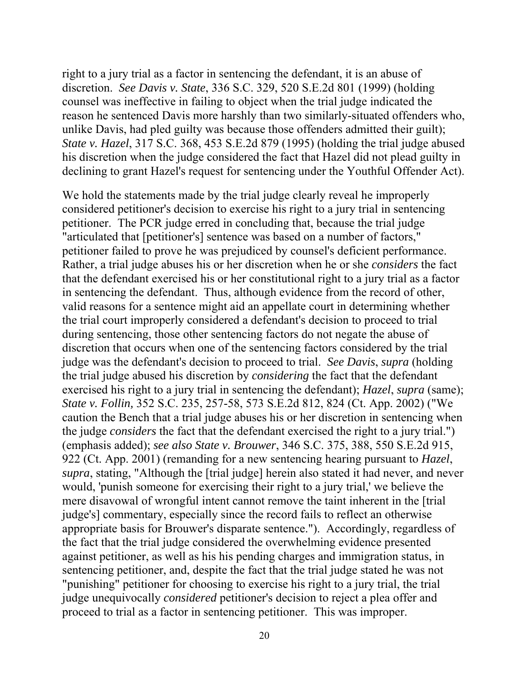discretion. *See Davis v. State*, 336 S.C. 329, 520 S.E.2d 801 (1999) (holding right to a jury trial as a factor in sentencing the defendant, it is an abuse of counsel was ineffective in failing to object when the trial judge indicated the reason he sentenced Davis more harshly than two similarly-situated offenders who, unlike Davis, had pled guilty was because those offenders admitted their guilt); *State v. Hazel*, 317 S.C. 368, 453 S.E.2d 879 (1995) (holding the trial judge abused his discretion when the judge considered the fact that Hazel did not plead guilty in declining to grant Hazel's request for sentencing under the Youthful Offender Act).

We hold the statements made by the trial judge clearly reveal he improperly considered petitioner's decision to exercise his right to a jury trial in sentencing petitioner. The PCR judge erred in concluding that, because the trial judge "articulated that [petitioner's] sentence was based on a number of factors," petitioner failed to prove he was prejudiced by counsel's deficient performance. Rather, a trial judge abuses his or her discretion when he or she *considers* the fact that the defendant exercised his or her constitutional right to a jury trial as a factor in sentencing the defendant. Thus, although evidence from the record of other, valid reasons for a sentence might aid an appellate court in determining whether the trial court improperly considered a defendant's decision to proceed to trial during sentencing, those other sentencing factors do not negate the abuse of discretion that occurs when one of the sentencing factors considered by the trial judge was the defendant's decision to proceed to trial. *See Davis*, *supra* (holding the trial judge abused his discretion by *considering* the fact that the defendant exercised his right to a jury trial in sentencing the defendant); *Hazel*, *supra* (same); *State v. Follin,* 352 S.C. 235, 257-58, 573 S.E.2d 812, 824 (Ct. App. 2002) ("We caution the Bench that a trial judge abuses his or her discretion in sentencing when the judge *considers* the fact that the defendant exercised the right to a jury trial.") (emphasis added); *see also State v. Brouwer*, 346 S.C. 375, 388, 550 S.E.2d 915, 922 (Ct. App. 2001) (remanding for a new sentencing hearing pursuant to *Hazel*, *supra*, stating, "Although the [trial judge] herein also stated it had never, and never would, 'punish someone for exercising their right to a jury trial,' we believe the mere disavowal of wrongful intent cannot remove the taint inherent in the [trial judge's] commentary, especially since the record fails to reflect an otherwise appropriate basis for Brouwer's disparate sentence."). Accordingly, regardless of the fact that the trial judge considered the overwhelming evidence presented against petitioner, as well as his his pending charges and immigration status, in sentencing petitioner, and, despite the fact that the trial judge stated he was not "punishing" petitioner for choosing to exercise his right to a jury trial, the trial judge unequivocally *considered* petitioner's decision to reject a plea offer and proceed to trial as a factor in sentencing petitioner. This was improper.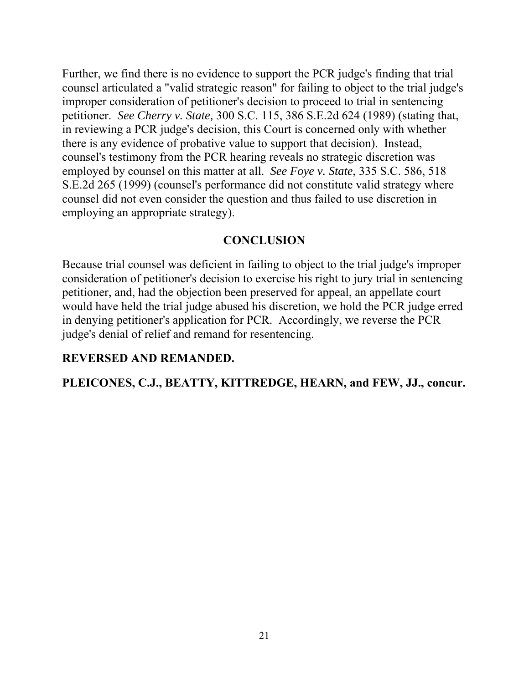Further, we find there is no evidence to support the PCR judge's finding that trial counsel articulated a "valid strategic reason" for failing to object to the trial judge's improper consideration of petitioner's decision to proceed to trial in sentencing petitioner. *See Cherry v. State,* 300 S.C. 115, 386 S.E.2d 624 (1989) (stating that, in reviewing a PCR judge's decision, this Court is concerned only with whether there is any evidence of probative value to support that decision). Instead, counsel's testimony from the PCR hearing reveals no strategic discretion was employed by counsel on this matter at all. *See Foye v. State*, 335 S.C. 586, 518 S.E.2d 265 (1999) (counsel's performance did not constitute valid strategy where counsel did not even consider the question and thus failed to use discretion in employing an appropriate strategy).

#### **CONCLUSION**

Because trial counsel was deficient in failing to object to the trial judge's improper consideration of petitioner's decision to exercise his right to jury trial in sentencing petitioner, and, had the objection been preserved for appeal, an appellate court would have held the trial judge abused his discretion, we hold the PCR judge erred in denying petitioner's application for PCR. Accordingly, we reverse the PCR judge's denial of relief and remand for resentencing.

#### **REVERSED AND REMANDED.**

# **PLEICONES, C.J., BEATTY, KITTREDGE, HEARN, and FEW, JJ., concur.**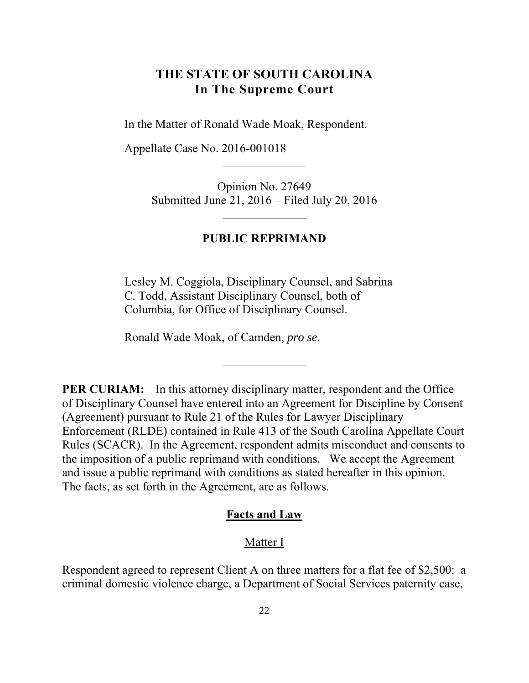# <span id="page-21-0"></span>**THE STATE OF SOUTH CAROLINA In The Supreme Court**

In the Matter of Ronald Wade Moak, Respondent.

Appellate Case No. 2016-001018

Opinion No. 27649 Submitted June 21, 2016 – Filed July 20, 2016

#### **PUBLIC REPRIMAND**

Lesley M. Coggiola, Disciplinary Counsel, and Sabrina C. Todd, Assistant Disciplinary Counsel, both of Columbia, for Office of Disciplinary Counsel.

Ronald Wade Moak, of Camden, *pro se*.

**PER CURIAM:** In this attorney disciplinary matter, respondent and the Office of Disciplinary Counsel have entered into an Agreement for Discipline by Consent (Agreement) pursuant to Rule 21 of the Rules for Lawyer Disciplinary Enforcement (RLDE) contained in Rule 413 of the South Carolina Appellate Court Rules (SCACR). In the Agreement, respondent admits misconduct and consents to the imposition of a public reprimand with conditions. We accept the Agreement and issue a public reprimand with conditions as stated hereafter in this opinion. The facts, as set forth in the Agreement, are as follows.

#### **Facts and Law**

#### Matter I

Respondent agreed to represent Client A on three matters for a flat fee of \$2,500: a criminal domestic violence charge, a Department of Social Services paternity case,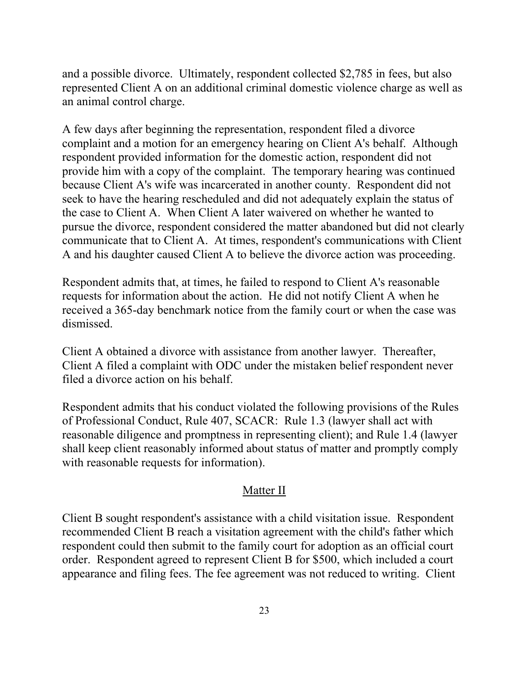and a possible divorce. Ultimately, respondent collected \$2,785 in fees, but also represented Client A on an additional criminal domestic violence charge as well as an animal control charge.

A few days after beginning the representation, respondent filed a divorce complaint and a motion for an emergency hearing on Client A's behalf. Although respondent provided information for the domestic action, respondent did not provide him with a copy of the complaint. The temporary hearing was continued because Client A's wife was incarcerated in another county. Respondent did not seek to have the hearing rescheduled and did not adequately explain the status of the case to Client A. When Client A later waivered on whether he wanted to pursue the divorce, respondent considered the matter abandoned but did not clearly communicate that to Client A. At times, respondent's communications with Client A and his daughter caused Client A to believe the divorce action was proceeding.

Respondent admits that, at times, he failed to respond to Client A's reasonable requests for information about the action. He did not notify Client A when he received a 365-day benchmark notice from the family court or when the case was dismissed.

Client A obtained a divorce with assistance from another lawyer. Thereafter, Client A filed a complaint with ODC under the mistaken belief respondent never filed a divorce action on his behalf.

Respondent admits that his conduct violated the following provisions of the Rules of Professional Conduct, Rule 407, SCACR: Rule 1.3 (lawyer shall act with reasonable diligence and promptness in representing client); and Rule 1.4 (lawyer shall keep client reasonably informed about status of matter and promptly comply with reasonable requests for information).

## Matter II

Client B sought respondent's assistance with a child visitation issue. Respondent recommended Client B reach a visitation agreement with the child's father which respondent could then submit to the family court for adoption as an official court order. Respondent agreed to represent Client B for \$500, which included a court appearance and filing fees. The fee agreement was not reduced to writing. Client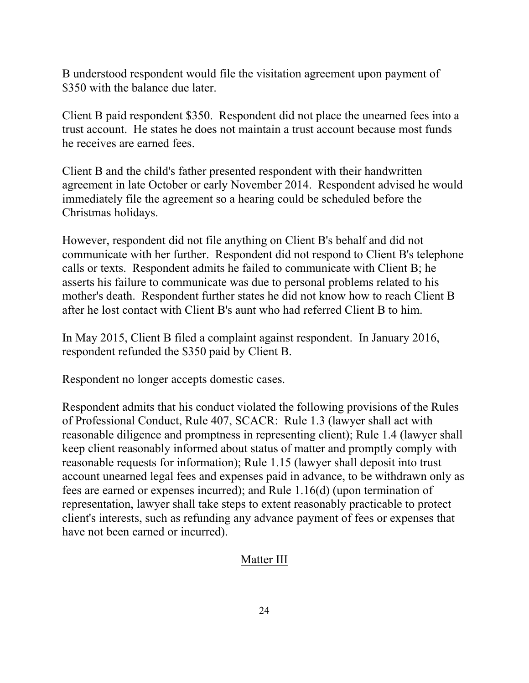B understood respondent would file the visitation agreement upon payment of \$350 with the balance due later.

Client B paid respondent \$350. Respondent did not place the unearned fees into a trust account. He states he does not maintain a trust account because most funds he receives are earned fees.

Client B and the child's father presented respondent with their handwritten agreement in late October or early November 2014. Respondent advised he would immediately file the agreement so a hearing could be scheduled before the Christmas holidays.

However, respondent did not file anything on Client B's behalf and did not communicate with her further. Respondent did not respond to Client B's telephone calls or texts. Respondent admits he failed to communicate with Client B; he asserts his failure to communicate was due to personal problems related to his mother's death. Respondent further states he did not know how to reach Client B after he lost contact with Client B's aunt who had referred Client B to him.

In May 2015, Client B filed a complaint against respondent. In January 2016, respondent refunded the \$350 paid by Client B.

Respondent no longer accepts domestic cases.

Respondent admits that his conduct violated the following provisions of the Rules of Professional Conduct, Rule 407, SCACR: Rule 1.3 (lawyer shall act with reasonable diligence and promptness in representing client); Rule 1.4 (lawyer shall keep client reasonably informed about status of matter and promptly comply with reasonable requests for information); Rule 1.15 (lawyer shall deposit into trust account unearned legal fees and expenses paid in advance, to be withdrawn only as fees are earned or expenses incurred); and Rule 1.16(d) (upon termination of representation, lawyer shall take steps to extent reasonably practicable to protect client's interests, such as refunding any advance payment of fees or expenses that have not been earned or incurred).

# Matter III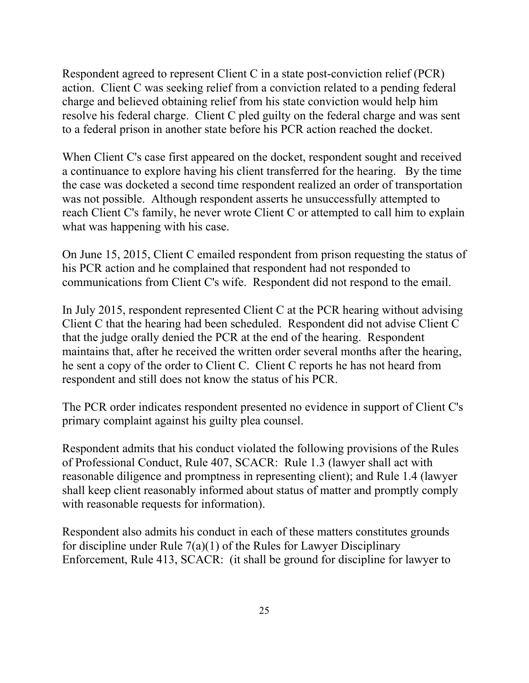Respondent agreed to represent Client C in a state post-conviction relief (PCR) action. Client C was seeking relief from a conviction related to a pending federal charge and believed obtaining relief from his state conviction would help him resolve his federal charge. Client C pled guilty on the federal charge and was sent to a federal prison in another state before his PCR action reached the docket.

When Client C's case first appeared on the docket, respondent sought and received a continuance to explore having his client transferred for the hearing. By the time the case was docketed a second time respondent realized an order of transportation was not possible. Although respondent asserts he unsuccessfully attempted to reach Client C's family, he never wrote Client C or attempted to call him to explain what was happening with his case.

On June 15, 2015, Client C emailed respondent from prison requesting the status of his PCR action and he complained that respondent had not responded to communications from Client C's wife. Respondent did not respond to the email.

In July 2015, respondent represented Client C at the PCR hearing without advising Client C that the hearing had been scheduled. Respondent did not advise Client C that the judge orally denied the PCR at the end of the hearing. Respondent maintains that, after he received the written order several months after the hearing, he sent a copy of the order to Client C. Client C reports he has not heard from respondent and still does not know the status of his PCR.

The PCR order indicates respondent presented no evidence in support of Client C's primary complaint against his guilty plea counsel.

Respondent admits that his conduct violated the following provisions of the Rules of Professional Conduct, Rule 407, SCACR: Rule 1.3 (lawyer shall act with reasonable diligence and promptness in representing client); and Rule 1.4 (lawyer shall keep client reasonably informed about status of matter and promptly comply with reasonable requests for information).

Respondent also admits his conduct in each of these matters constitutes grounds for discipline under Rule 7(a)(1) of the Rules for Lawyer Disciplinary Enforcement, Rule 413, SCACR: (it shall be ground for discipline for lawyer to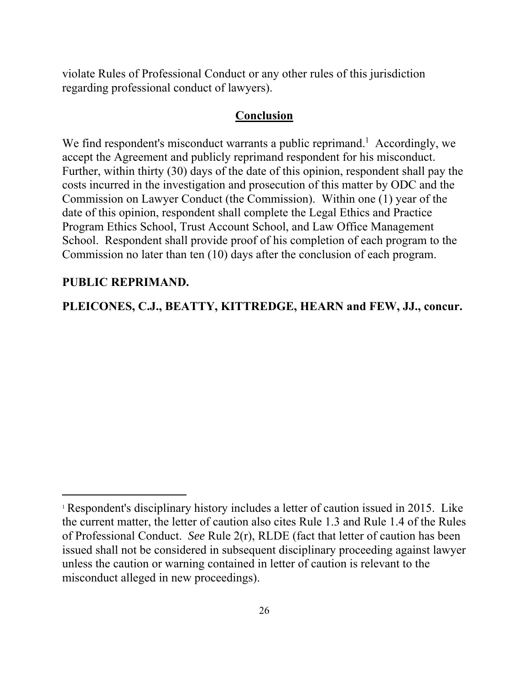violate Rules of Professional Conduct or any other rules of this jurisdiction regarding professional conduct of lawyers).

#### **Conclusion**

We find respondent's misconduct warrants a public reprimand.<sup>1</sup> Accordingly, we accept the Agreement and publicly reprimand respondent for his misconduct. Further, within thirty (30) days of the date of this opinion, respondent shall pay the costs incurred in the investigation and prosecution of this matter by ODC and the Commission on Lawyer Conduct (the Commission). Within one (1) year of the date of this opinion, respondent shall complete the Legal Ethics and Practice Program Ethics School, Trust Account School, and Law Office Management School. Respondent shall provide proof of his completion of each program to the Commission no later than ten (10) days after the conclusion of each program.

#### **PUBLIC REPRIMAND.**

 $\overline{a}$ 

**PLEICONES, C.J., BEATTY, KITTREDGE, HEARN and FEW, JJ., concur.** 

<sup>1</sup> Respondent's disciplinary history includes a letter of caution issued in 2015. Like the current matter, the letter of caution also cites Rule 1.3 and Rule 1.4 of the Rules of Professional Conduct. *See* Rule 2(r), RLDE (fact that letter of caution has been issued shall not be considered in subsequent disciplinary proceeding against lawyer unless the caution or warning contained in letter of caution is relevant to the misconduct alleged in new proceedings).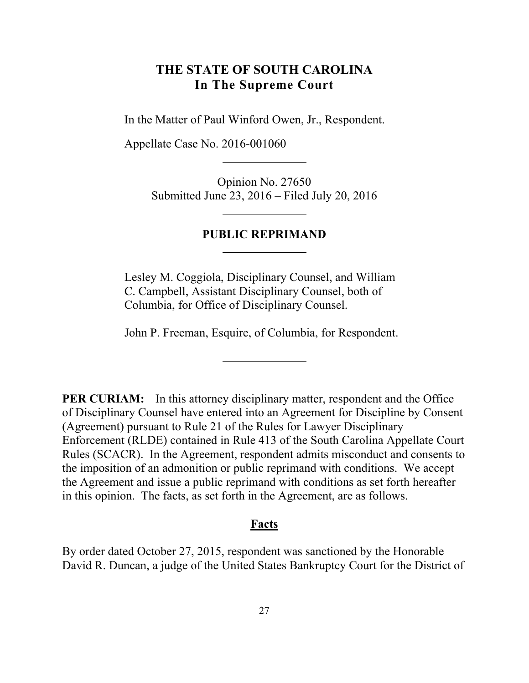# <span id="page-26-0"></span>**THE STATE OF SOUTH CAROLINA In The Supreme Court**

In the Matter of Paul Winford Owen, Jr., Respondent.

Appellate Case No. 2016-001060

Opinion No. 27650 Submitted June 23, 2016 – Filed July 20, 2016

#### **PUBLIC REPRIMAND**

Lesley M. Coggiola, Disciplinary Counsel, and William C. Campbell, Assistant Disciplinary Counsel, both of Columbia, for Office of Disciplinary Counsel.

John P. Freeman, Esquire, of Columbia, for Respondent.

**PER CURIAM:** In this attorney disciplinary matter, respondent and the Office of Disciplinary Counsel have entered into an Agreement for Discipline by Consent (Agreement) pursuant to Rule 21 of the Rules for Lawyer Disciplinary Enforcement (RLDE) contained in Rule 413 of the South Carolina Appellate Court Rules (SCACR). In the Agreement, respondent admits misconduct and consents to the imposition of an admonition or public reprimand with conditions. We accept the Agreement and issue a public reprimand with conditions as set forth hereafter in this opinion. The facts, as set forth in the Agreement, are as follows.

#### **Facts**

By order dated October 27, 2015, respondent was sanctioned by the Honorable David R. Duncan, a judge of the United States Bankruptcy Court for the District of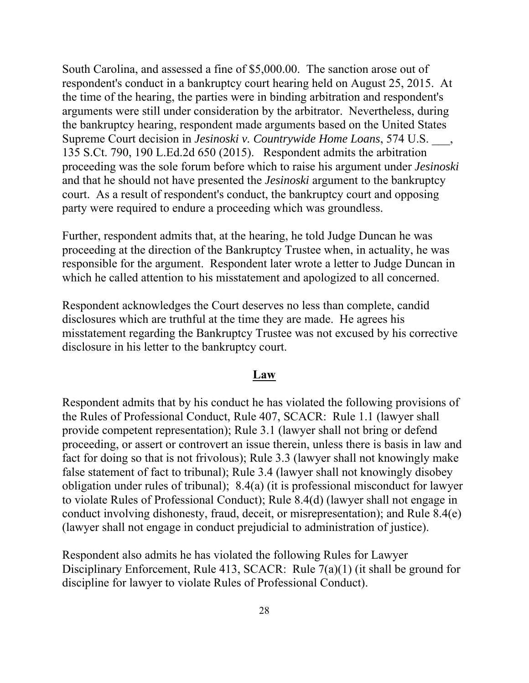South Carolina, and assessed a fine of \$5,000.00. The sanction arose out of respondent's conduct in a bankruptcy court hearing held on August 25, 2015. At the time of the hearing, the parties were in binding arbitration and respondent's arguments were still under consideration by the arbitrator. Nevertheless, during the bankruptcy hearing, respondent made arguments based on the United States Supreme Court decision in *Jesinoski v. Countrywide Home Loans*, 574 U.S. \_\_\_, 135 S.Ct. 790, 190 L.Ed.2d 650 (2015). Respondent admits the arbitration proceeding was the sole forum before which to raise his argument under *Jesinoski*  and that he should not have presented the *Jesinoski* argument to the bankruptcy court. As a result of respondent's conduct, the bankruptcy court and opposing party were required to endure a proceeding which was groundless.

Further, respondent admits that, at the hearing, he told Judge Duncan he was proceeding at the direction of the Bankruptcy Trustee when, in actuality, he was responsible for the argument. Respondent later wrote a letter to Judge Duncan in which he called attention to his misstatement and apologized to all concerned.

Respondent acknowledges the Court deserves no less than complete, candid disclosures which are truthful at the time they are made. He agrees his misstatement regarding the Bankruptcy Trustee was not excused by his corrective disclosure in his letter to the bankruptcy court.

#### **Law**

Respondent admits that by his conduct he has violated the following provisions of the Rules of Professional Conduct, Rule 407, SCACR: Rule 1.1 (lawyer shall provide competent representation); Rule 3.1 (lawyer shall not bring or defend proceeding, or assert or controvert an issue therein, unless there is basis in law and fact for doing so that is not frivolous); Rule 3.3 (lawyer shall not knowingly make false statement of fact to tribunal); Rule 3.4 (lawyer shall not knowingly disobey obligation under rules of tribunal); 8.4(a) (it is professional misconduct for lawyer to violate Rules of Professional Conduct); Rule 8.4(d) (lawyer shall not engage in conduct involving dishonesty, fraud, deceit, or misrepresentation); and Rule 8.4(e) (lawyer shall not engage in conduct prejudicial to administration of justice).

Respondent also admits he has violated the following Rules for Lawyer Disciplinary Enforcement, Rule 413, SCACR: Rule 7(a)(1) (it shall be ground for discipline for lawyer to violate Rules of Professional Conduct).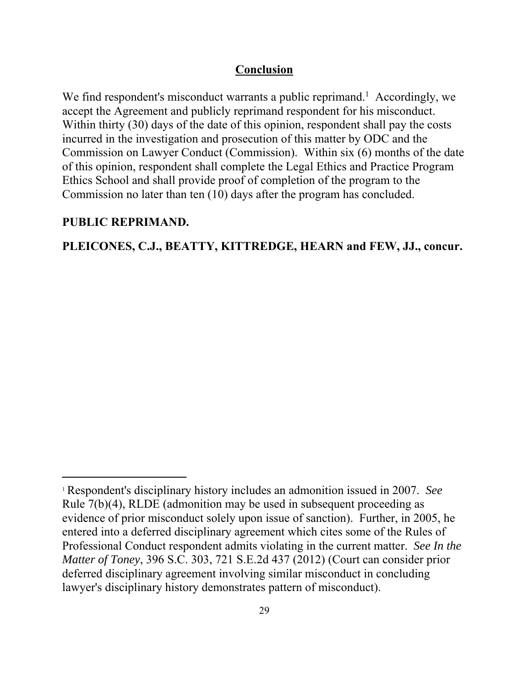## **Conclusion**

We find respondent's misconduct warrants a public reprimand.<sup>1</sup> Accordingly, we accept the Agreement and publicly reprimand respondent for his misconduct. Within thirty (30) days of the date of this opinion, respondent shall pay the costs incurred in the investigation and prosecution of this matter by ODC and the Commission on Lawyer Conduct (Commission). Within six (6) months of the date of this opinion, respondent shall complete the Legal Ethics and Practice Program Ethics School and shall provide proof of completion of the program to the Commission no later than ten (10) days after the program has concluded.

#### **PUBLIC REPRIMAND.**

 $\overline{a}$ 

#### **PLEICONES, C.J., BEATTY, KITTREDGE, HEARN and FEW, JJ., concur.**

<sup>1</sup> Respondent's disciplinary history includes an admonition issued in 2007. *See*  Rule 7(b)(4), RLDE (admonition may be used in subsequent proceeding as evidence of prior misconduct solely upon issue of sanction). Further, in 2005, he entered into a deferred disciplinary agreement which cites some of the Rules of Professional Conduct respondent admits violating in the current matter. *See In the Matter of Toney*, 396 S.C. 303, 721 S.E.2d 437 (2012) (Court can consider prior deferred disciplinary agreement involving similar misconduct in concluding lawyer's disciplinary history demonstrates pattern of misconduct).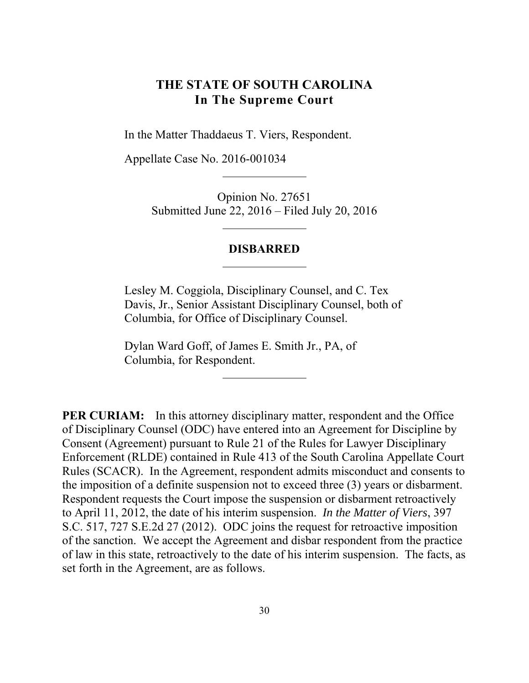# <span id="page-29-0"></span>**THE STATE OF SOUTH CAROLINA In The Supreme Court**

In the Matter Thaddaeus T. Viers, Respondent.

Appellate Case No. 2016-001034

Opinion No. 27651 Submitted June 22, 2016 – Filed July 20, 2016

#### **DISBARRED**

Lesley M. Coggiola, Disciplinary Counsel, and C. Tex Davis, Jr., Senior Assistant Disciplinary Counsel, both of Columbia, for Office of Disciplinary Counsel.

Dylan Ward Goff, of James E. Smith Jr., PA, of Columbia, for Respondent.

**PER CURIAM:** In this attorney disciplinary matter, respondent and the Office of Disciplinary Counsel (ODC) have entered into an Agreement for Discipline by Consent (Agreement) pursuant to Rule 21 of the Rules for Lawyer Disciplinary Enforcement (RLDE) contained in Rule 413 of the South Carolina Appellate Court Rules (SCACR). In the Agreement, respondent admits misconduct and consents to the imposition of a definite suspension not to exceed three (3) years or disbarment. Respondent requests the Court impose the suspension or disbarment retroactively to April 11, 2012, the date of his interim suspension. *In the Matter of Viers*, 397 S.C. 517, 727 S.E.2d 27 (2012). ODC joins the request for retroactive imposition of the sanction. We accept the Agreement and disbar respondent from the practice of law in this state, retroactively to the date of his interim suspension. The facts, as set forth in the Agreement, are as follows.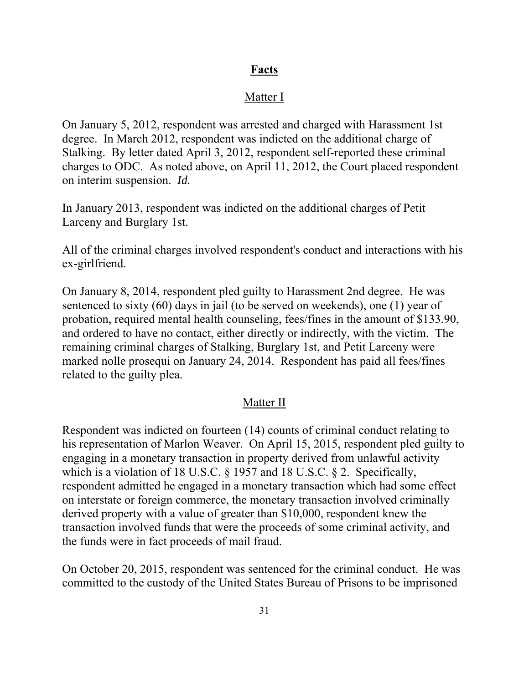# **Facts**

# Matter I

On January 5, 2012, respondent was arrested and charged with Harassment 1st degree. In March 2012, respondent was indicted on the additional charge of Stalking. By letter dated April 3, 2012, respondent self-reported these criminal charges to ODC. As noted above, on April 11, 2012, the Court placed respondent on interim suspension. *Id.* 

In January 2013, respondent was indicted on the additional charges of Petit Larceny and Burglary 1st.

All of the criminal charges involved respondent's conduct and interactions with his ex-girlfriend.

On January 8, 2014, respondent pled guilty to Harassment 2nd degree. He was sentenced to sixty (60) days in jail (to be served on weekends), one (1) year of probation, required mental health counseling, fees/fines in the amount of \$133.90, and ordered to have no contact, either directly or indirectly, with the victim. The remaining criminal charges of Stalking, Burglary 1st, and Petit Larceny were marked nolle prosequi on January 24, 2014. Respondent has paid all fees/fines related to the guilty plea.

# Matter II

Respondent was indicted on fourteen (14) counts of criminal conduct relating to his representation of Marlon Weaver. On April 15, 2015, respondent pled guilty to engaging in a monetary transaction in property derived from unlawful activity which is a violation of 18 U.S.C. § 1957 and 18 U.S.C. § 2. Specifically, respondent admitted he engaged in a monetary transaction which had some effect on interstate or foreign commerce, the monetary transaction involved criminally derived property with a value of greater than \$10,000, respondent knew the transaction involved funds that were the proceeds of some criminal activity, and the funds were in fact proceeds of mail fraud.

On October 20, 2015, respondent was sentenced for the criminal conduct. He was committed to the custody of the United States Bureau of Prisons to be imprisoned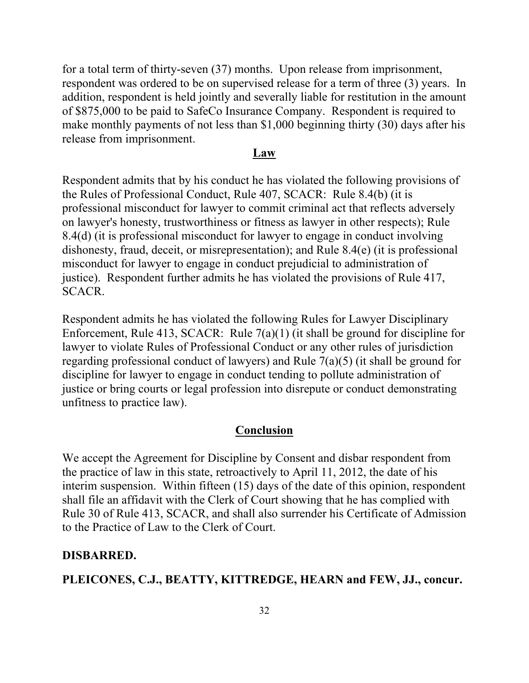for a total term of thirty-seven (37) months. Upon release from imprisonment, respondent was ordered to be on supervised release for a term of three (3) years. In addition, respondent is held jointly and severally liable for restitution in the amount of \$875,000 to be paid to SafeCo Insurance Company. Respondent is required to make monthly payments of not less than \$1,000 beginning thirty (30) days after his release from imprisonment.

#### **Law**

Respondent admits that by his conduct he has violated the following provisions of the Rules of Professional Conduct, Rule 407, SCACR: Rule 8.4(b) (it is professional misconduct for lawyer to commit criminal act that reflects adversely on lawyer's honesty, trustworthiness or fitness as lawyer in other respects); Rule 8.4(d) (it is professional misconduct for lawyer to engage in conduct involving dishonesty, fraud, deceit, or misrepresentation); and Rule 8.4(e) (it is professional misconduct for lawyer to engage in conduct prejudicial to administration of justice). Respondent further admits he has violated the provisions of Rule 417, SCACR.

Respondent admits he has violated the following Rules for Lawyer Disciplinary Enforcement, Rule 413, SCACR: Rule 7(a)(1) (it shall be ground for discipline for lawyer to violate Rules of Professional Conduct or any other rules of jurisdiction regarding professional conduct of lawyers) and Rule 7(a)(5) (it shall be ground for discipline for lawyer to engage in conduct tending to pollute administration of justice or bring courts or legal profession into disrepute or conduct demonstrating unfitness to practice law).

#### **Conclusion**

We accept the Agreement for Discipline by Consent and disbar respondent from the practice of law in this state, retroactively to April 11, 2012, the date of his interim suspension. Within fifteen (15) days of the date of this opinion, respondent shall file an affidavit with the Clerk of Court showing that he has complied with Rule 30 of Rule 413, SCACR, and shall also surrender his Certificate of Admission to the Practice of Law to the Clerk of Court.

#### **DISBARRED.**

**PLEICONES, C.J., BEATTY, KITTREDGE, HEARN and FEW, JJ., concur.**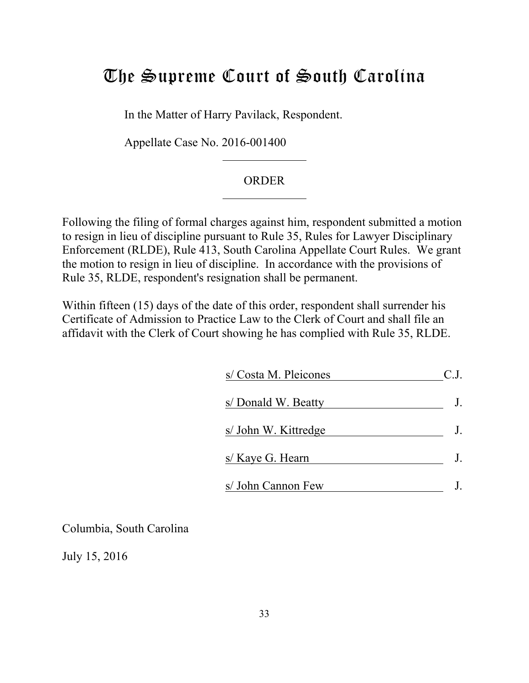# <span id="page-32-0"></span>The Supreme Court of South Carolina

In the Matter of Harry Pavilack, Respondent.

Appellate Case No. 2016-001400

#### ORDER

Following the filing of formal charges against him, respondent submitted a motion to resign in lieu of discipline pursuant to Rule 35, Rules for Lawyer Disciplinary Enforcement (RLDE), Rule 413, South Carolina Appellate Court Rules. We grant the motion to resign in lieu of discipline. In accordance with the provisions of Rule 35, RLDE, respondent's resignation shall be permanent.

Within fifteen (15) days of the date of this order, respondent shall surrender his Certificate of Admission to Practice Law to the Clerk of Court and shall file an affidavit with the Clerk of Court showing he has complied with Rule 35, RLDE.

| s/ Costa M. Pleicones |  |
|-----------------------|--|
| s/Donald W. Beatty    |  |
| s/ John W. Kittredge  |  |
| s/ Kaye G. Hearn      |  |
| s/ John Cannon Few    |  |

Columbia, South Carolina

July 15, 2016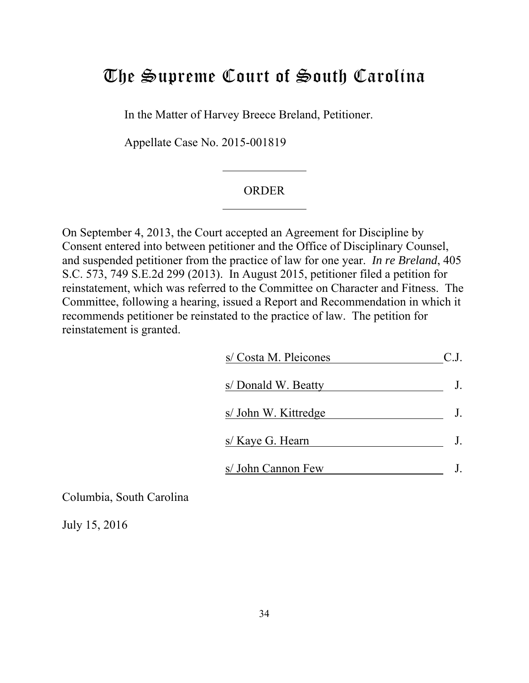# <span id="page-33-0"></span>The Supreme Court of South Carolina

In the Matter of Harvey Breece Breland, Petitioner.

Appellate Case No. 2015-001819

#### **ORDER**

On September 4, 2013, the Court accepted an Agreement for Discipline by Consent entered into between petitioner and the Office of Disciplinary Counsel, and suspended petitioner from the practice of law for one year. *In re Breland*, 405 S.C. 573, 749 S.E.2d 299 (2013). In August 2015, petitioner filed a petition for reinstatement, which was referred to the Committee on Character and Fitness. The Committee, following a hearing, issued a Report and Recommendation in which it recommends petitioner be reinstated to the practice of law. The petition for reinstatement is granted.

| s/ Costa M. Pleicones |  |
|-----------------------|--|
| s/ Donald W. Beatty   |  |
| s/ John W. Kittredge  |  |
| s/ Kaye G. Hearn      |  |
| s/ John Cannon Few    |  |

Columbia, South Carolina

July 15, 2016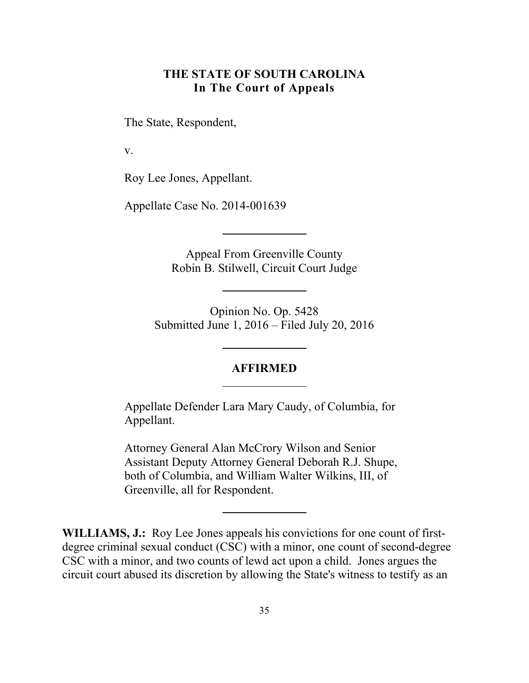# **THE STATE OF SOUTH CAROLINA In The Court of Appeals**

<span id="page-34-0"></span>The State, Respondent,

v.

Roy Lee Jones, Appellant.

Appellate Case No. 2014-001639

Appeal From Greenville County Robin B. Stilwell, Circuit Court Judge

Opinion No. Op. 5428 Submitted June 1, 2016 – Filed July 20, 2016

#### **AFFIRMED**

Appellate Defender Lara Mary Caudy, of Columbia, for Appellant.

Attorney General Alan McCrory Wilson and Senior Assistant Deputy Attorney General Deborah R.J. Shupe, both of Columbia, and William Walter Wilkins, III, of Greenville, all for Respondent.

**WILLIAMS, J.:** Roy Lee Jones appeals his convictions for one count of firstdegree criminal sexual conduct (CSC) with a minor, one count of second-degree CSC with a minor, and two counts of lewd act upon a child. Jones argues the circuit court abused its discretion by allowing the State's witness to testify as an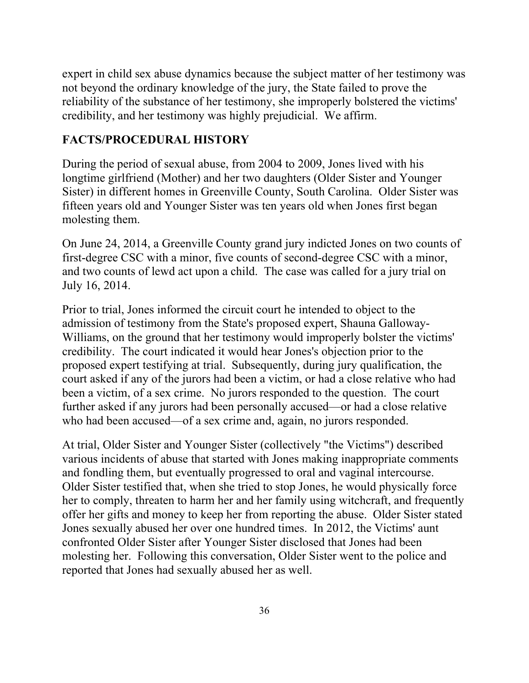expert in child sex abuse dynamics because the subject matter of her testimony was not beyond the ordinary knowledge of the jury, the State failed to prove the reliability of the substance of her testimony, she improperly bolstered the victims' credibility, and her testimony was highly prejudicial. We affirm.

# **FACTS/PROCEDURAL HISTORY**

During the period of sexual abuse, from 2004 to 2009, Jones lived with his longtime girlfriend (Mother) and her two daughters (Older Sister and Younger Sister) in different homes in Greenville County, South Carolina. Older Sister was fifteen years old and Younger Sister was ten years old when Jones first began molesting them.

On June 24, 2014, a Greenville County grand jury indicted Jones on two counts of first-degree CSC with a minor, five counts of second-degree CSC with a minor, and two counts of lewd act upon a child. The case was called for a jury trial on July 16, 2014.

Prior to trial, Jones informed the circuit court he intended to object to the admission of testimony from the State's proposed expert, Shauna Galloway-Williams, on the ground that her testimony would improperly bolster the victims' credibility. The court indicated it would hear Jones's objection prior to the proposed expert testifying at trial. Subsequently, during jury qualification, the court asked if any of the jurors had been a victim, or had a close relative who had been a victim, of a sex crime. No jurors responded to the question. The court further asked if any jurors had been personally accused—or had a close relative who had been accused—of a sex crime and, again, no jurors responded.

At trial, Older Sister and Younger Sister (collectively "the Victims") described various incidents of abuse that started with Jones making inappropriate comments and fondling them, but eventually progressed to oral and vaginal intercourse. Older Sister testified that, when she tried to stop Jones, he would physically force her to comply, threaten to harm her and her family using witchcraft, and frequently offer her gifts and money to keep her from reporting the abuse. Older Sister stated Jones sexually abused her over one hundred times. In 2012, the Victims' aunt confronted Older Sister after Younger Sister disclosed that Jones had been molesting her. Following this conversation, Older Sister went to the police and reported that Jones had sexually abused her as well.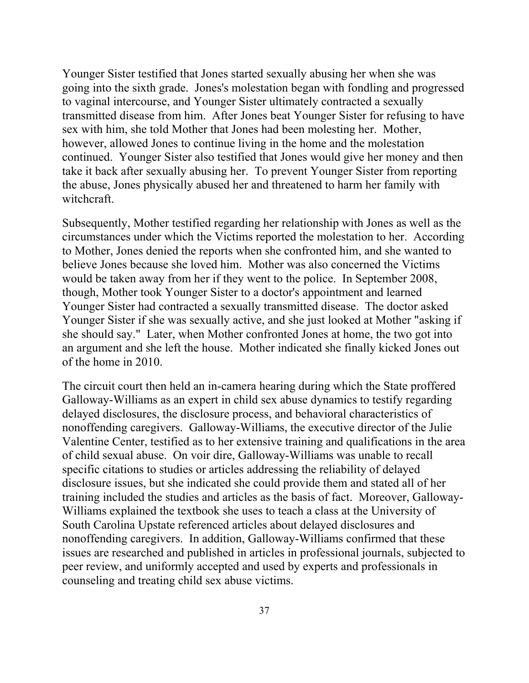Younger Sister testified that Jones started sexually abusing her when she was going into the sixth grade. Jones's molestation began with fondling and progressed to vaginal intercourse, and Younger Sister ultimately contracted a sexually transmitted disease from him. After Jones beat Younger Sister for refusing to have sex with him, she told Mother that Jones had been molesting her. Mother, however, allowed Jones to continue living in the home and the molestation continued. Younger Sister also testified that Jones would give her money and then take it back after sexually abusing her. To prevent Younger Sister from reporting the abuse, Jones physically abused her and threatened to harm her family with witchcraft.

Subsequently, Mother testified regarding her relationship with Jones as well as the circumstances under which the Victims reported the molestation to her. According to Mother, Jones denied the reports when she confronted him, and she wanted to believe Jones because she loved him. Mother was also concerned the Victims would be taken away from her if they went to the police. In September 2008, though, Mother took Younger Sister to a doctor's appointment and learned Younger Sister had contracted a sexually transmitted disease. The doctor asked Younger Sister if she was sexually active, and she just looked at Mother "asking if she should say." Later, when Mother confronted Jones at home, the two got into an argument and she left the house. Mother indicated she finally kicked Jones out of the home in 2010.

The circuit court then held an in-camera hearing during which the State proffered Galloway-Williams as an expert in child sex abuse dynamics to testify regarding delayed disclosures, the disclosure process, and behavioral characteristics of nonoffending caregivers. Galloway-Williams, the executive director of the Julie Valentine Center, testified as to her extensive training and qualifications in the area of child sexual abuse. On voir dire, Galloway-Williams was unable to recall specific citations to studies or articles addressing the reliability of delayed disclosure issues, but she indicated she could provide them and stated all of her training included the studies and articles as the basis of fact. Moreover, Galloway-Williams explained the textbook she uses to teach a class at the University of South Carolina Upstate referenced articles about delayed disclosures and nonoffending caregivers. In addition, Galloway-Williams confirmed that these issues are researched and published in articles in professional journals, subjected to peer review, and uniformly accepted and used by experts and professionals in counseling and treating child sex abuse victims.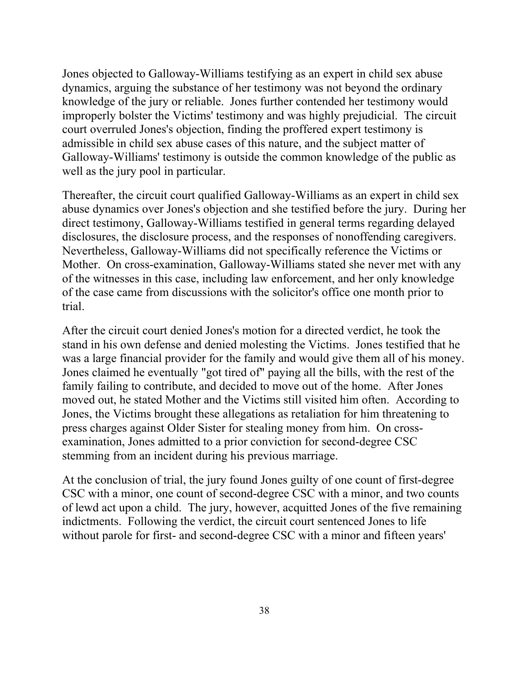Jones objected to Galloway-Williams testifying as an expert in child sex abuse dynamics, arguing the substance of her testimony was not beyond the ordinary knowledge of the jury or reliable. Jones further contended her testimony would improperly bolster the Victims' testimony and was highly prejudicial. The circuit court overruled Jones's objection, finding the proffered expert testimony is admissible in child sex abuse cases of this nature, and the subject matter of Galloway-Williams' testimony is outside the common knowledge of the public as well as the jury pool in particular.

Thereafter, the circuit court qualified Galloway-Williams as an expert in child sex abuse dynamics over Jones's objection and she testified before the jury. During her direct testimony, Galloway-Williams testified in general terms regarding delayed disclosures, the disclosure process, and the responses of nonoffending caregivers. Nevertheless, Galloway-Williams did not specifically reference the Victims or Mother. On cross-examination, Galloway-Williams stated she never met with any of the witnesses in this case, including law enforcement, and her only knowledge of the case came from discussions with the solicitor's office one month prior to trial.

After the circuit court denied Jones's motion for a directed verdict, he took the stand in his own defense and denied molesting the Victims. Jones testified that he was a large financial provider for the family and would give them all of his money. Jones claimed he eventually "got tired of" paying all the bills, with the rest of the family failing to contribute, and decided to move out of the home. After Jones moved out, he stated Mother and the Victims still visited him often. According to Jones, the Victims brought these allegations as retaliation for him threatening to press charges against Older Sister for stealing money from him. On crossexamination, Jones admitted to a prior conviction for second-degree CSC stemming from an incident during his previous marriage.

At the conclusion of trial, the jury found Jones guilty of one count of first-degree CSC with a minor, one count of second-degree CSC with a minor, and two counts of lewd act upon a child. The jury, however, acquitted Jones of the five remaining indictments. Following the verdict, the circuit court sentenced Jones to life without parole for first- and second-degree CSC with a minor and fifteen years'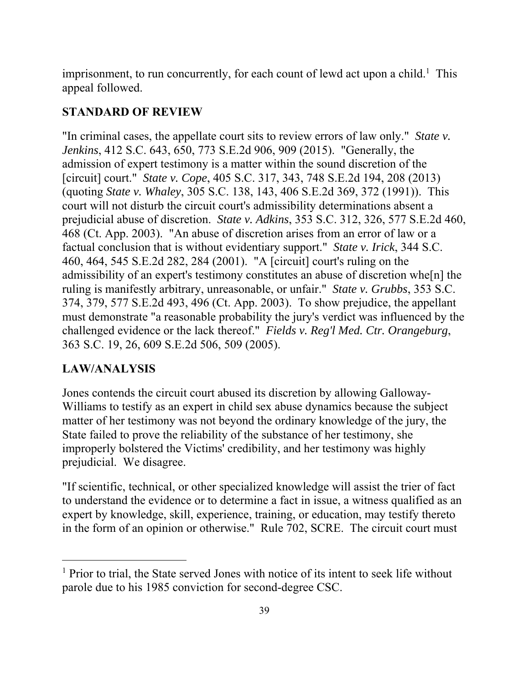imprisonment, to run concurrently, for each count of lewd act upon a child.<sup>1</sup> This appeal followed.

# **STANDARD OF REVIEW**

"In criminal cases, the appellate court sits to review errors of law only." *State v. Jenkins*, 412 S.C. 643, 650, 773 S.E.2d 906, 909 (2015). "Generally, the admission of expert testimony is a matter within the sound discretion of the [circuit] court." *State v. Cope*, 405 S.C. 317, 343, 748 S.E.2d 194, 208 (2013) (quoting *State v. Whaley*, 305 S.C. 138, 143, 406 S.E.2d 369, 372 (1991)). This court will not disturb the circuit court's admissibility determinations absent a prejudicial abuse of discretion. *State v. Adkins*, 353 S.C. 312, 326, 577 S.E.2d 460, 468 (Ct. App. 2003). "An abuse of discretion arises from an error of law or a factual conclusion that is without evidentiary support." *State v. Irick*, 344 S.C. 460, 464, 545 S.E.2d 282, 284 (2001). "A [circuit] court's ruling on the admissibility of an expert's testimony constitutes an abuse of discretion whe[n] the ruling is manifestly arbitrary, unreasonable, or unfair." *State v. Grubbs*, 353 S.C. 374, 379, 577 S.E.2d 493, 496 (Ct. App. 2003). To show prejudice, the appellant must demonstrate "a reasonable probability the jury's verdict was influenced by the challenged evidence or the lack thereof." *Fields v. Reg'l Med. Ctr. Orangeburg*, 363 S.C. 19, 26, 609 S.E.2d 506, 509 (2005).

# **LAW/ANALYSIS**

 $\overline{a}$ 

Jones contends the circuit court abused its discretion by allowing Galloway-Williams to testify as an expert in child sex abuse dynamics because the subject matter of her testimony was not beyond the ordinary knowledge of the jury, the State failed to prove the reliability of the substance of her testimony, she improperly bolstered the Victims' credibility, and her testimony was highly prejudicial. We disagree.

"If scientific, technical, or other specialized knowledge will assist the trier of fact to understand the evidence or to determine a fact in issue, a witness qualified as an expert by knowledge, skill, experience, training, or education, may testify thereto in the form of an opinion or otherwise." Rule 702, SCRE. The circuit court must

<sup>&</sup>lt;sup>1</sup> Prior to trial, the State served Jones with notice of its intent to seek life without parole due to his 1985 conviction for second-degree CSC.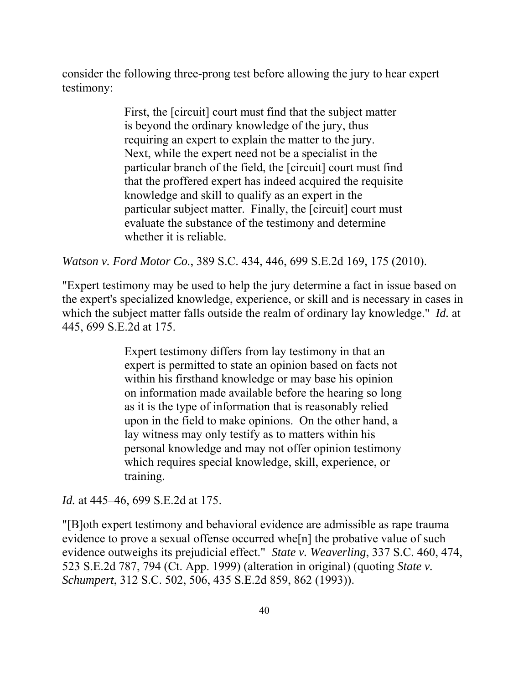consider the following three-prong test before allowing the jury to hear expert testimony:

> First, the [circuit] court must find that the subject matter is beyond the ordinary knowledge of the jury, thus requiring an expert to explain the matter to the jury. Next, while the expert need not be a specialist in the particular branch of the field, the [circuit] court must find that the proffered expert has indeed acquired the requisite knowledge and skill to qualify as an expert in the particular subject matter. Finally, the [circuit] court must evaluate the substance of the testimony and determine whether it is reliable.

*Watson v. Ford Motor Co.*, 389 S.C. 434, 446, 699 S.E.2d 169, 175 (2010).

"Expert testimony may be used to help the jury determine a fact in issue based on the expert's specialized knowledge, experience, or skill and is necessary in cases in which the subject matter falls outside the realm of ordinary lay knowledge." *Id.* at 445, 699 S.E.2d at 175.

> Expert testimony differs from lay testimony in that an expert is permitted to state an opinion based on facts not within his firsthand knowledge or may base his opinion on information made available before the hearing so long as it is the type of information that is reasonably relied upon in the field to make opinions. On the other hand, a lay witness may only testify as to matters within his personal knowledge and may not offer opinion testimony which requires special knowledge, skill, experience, or training.

*Id.* at 445–46, 699 S.E.2d at 175.

 evidence outweighs its prejudicial effect." *State v. Weaverling*, 337 S.C. 460, 474, "[B]oth expert testimony and behavioral evidence are admissible as rape trauma evidence to prove a sexual offense occurred whe[n] the probative value of such 523 S.E.2d 787, 794 (Ct. App. 1999) (alteration in original) (quoting *State v. Schumpert*, 312 S.C. 502, 506, 435 S.E.2d 859, 862 (1993)).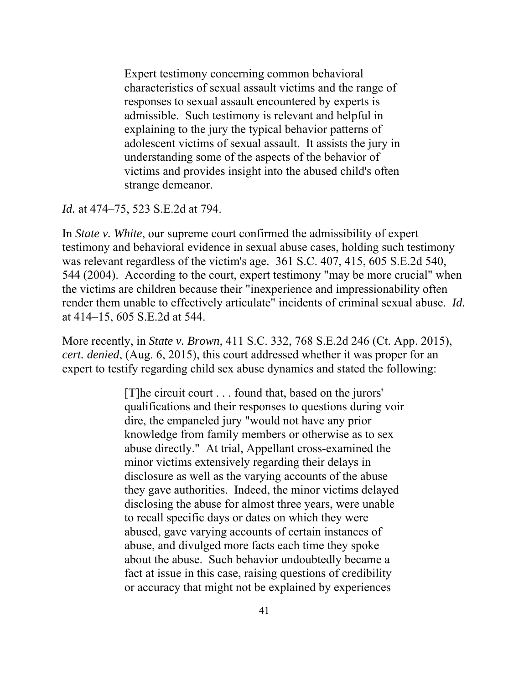Expert testimony concerning common behavioral characteristics of sexual assault victims and the range of responses to sexual assault encountered by experts is admissible. Such testimony is relevant and helpful in explaining to the jury the typical behavior patterns of adolescent victims of sexual assault. It assists the jury in understanding some of the aspects of the behavior of victims and provides insight into the abused child's often strange demeanor.

*Id.* at 474–75, 523 S.E.2d at 794.

In *State v. White*, our supreme court confirmed the admissibility of expert testimony and behavioral evidence in sexual abuse cases, holding such testimony was relevant regardless of the victim's age. 361 S.C. 407, 415, 605 S.E.2d 540, 544 (2004). According to the court, expert testimony "may be more crucial" when the victims are children because their "inexperience and impressionability often render them unable to effectively articulate" incidents of criminal sexual abuse. *Id.*  at 414–15, 605 S.E.2d at 544.

More recently, in *State v. Brown*, 411 S.C. 332, 768 S.E.2d 246 (Ct. App. 2015), *cert. denied*, (Aug. 6, 2015), this court addressed whether it was proper for an expert to testify regarding child sex abuse dynamics and stated the following:

> [T]he circuit court . . . found that, based on the jurors' qualifications and their responses to questions during voir dire, the empaneled jury "would not have any prior knowledge from family members or otherwise as to sex abuse directly." At trial, Appellant cross-examined the minor victims extensively regarding their delays in disclosure as well as the varying accounts of the abuse they gave authorities. Indeed, the minor victims delayed disclosing the abuse for almost three years, were unable to recall specific days or dates on which they were abused, gave varying accounts of certain instances of abuse, and divulged more facts each time they spoke about the abuse. Such behavior undoubtedly became a fact at issue in this case, raising questions of credibility or accuracy that might not be explained by experiences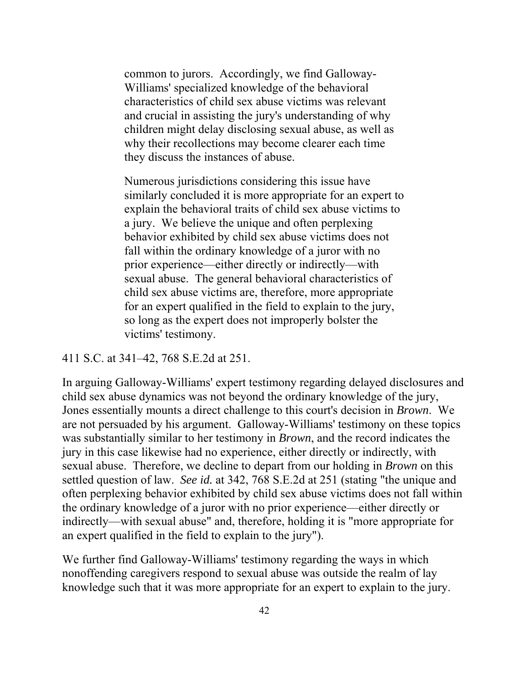common to jurors. Accordingly, we find Galloway-Williams' specialized knowledge of the behavioral characteristics of child sex abuse victims was relevant and crucial in assisting the jury's understanding of why children might delay disclosing sexual abuse, as well as why their recollections may become clearer each time they discuss the instances of abuse.

Numerous jurisdictions considering this issue have similarly concluded it is more appropriate for an expert to explain the behavioral traits of child sex abuse victims to a jury. We believe the unique and often perplexing behavior exhibited by child sex abuse victims does not fall within the ordinary knowledge of a juror with no prior experience—either directly or indirectly—with sexual abuse. The general behavioral characteristics of child sex abuse victims are, therefore, more appropriate for an expert qualified in the field to explain to the jury, so long as the expert does not improperly bolster the victims' testimony.

#### 411 S.C. at 341–42, 768 S.E.2d at 251.

In arguing Galloway-Williams' expert testimony regarding delayed disclosures and child sex abuse dynamics was not beyond the ordinary knowledge of the jury, Jones essentially mounts a direct challenge to this court's decision in *Brown*. We are not persuaded by his argument. Galloway-Williams' testimony on these topics was substantially similar to her testimony in *Brown*, and the record indicates the jury in this case likewise had no experience, either directly or indirectly, with sexual abuse. Therefore, we decline to depart from our holding in *Brown* on this settled question of law. *See id.* at 342, 768 S.E.2d at 251 (stating "the unique and often perplexing behavior exhibited by child sex abuse victims does not fall within the ordinary knowledge of a juror with no prior experience—either directly or indirectly—with sexual abuse" and, therefore, holding it is "more appropriate for an expert qualified in the field to explain to the jury").

We further find Galloway-Williams' testimony regarding the ways in which nonoffending caregivers respond to sexual abuse was outside the realm of lay knowledge such that it was more appropriate for an expert to explain to the jury.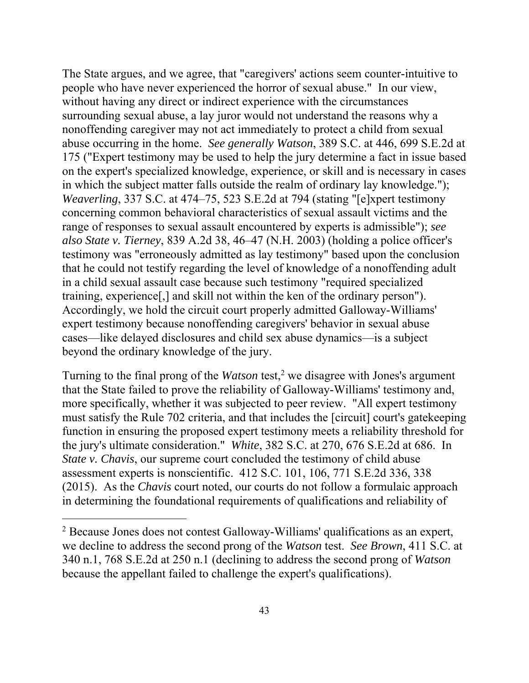The State argues, and we agree, that "caregivers' actions seem counter-intuitive to people who have never experienced the horror of sexual abuse." In our view, without having any direct or indirect experience with the circumstances surrounding sexual abuse, a lay juror would not understand the reasons why a nonoffending caregiver may not act immediately to protect a child from sexual abuse occurring in the home. *See generally Watson*, 389 S.C. at 446, 699 S.E.2d at 175 ("Expert testimony may be used to help the jury determine a fact in issue based on the expert's specialized knowledge, experience, or skill and is necessary in cases in which the subject matter falls outside the realm of ordinary lay knowledge."); *Weaverling*, 337 S.C. at 474–75, 523 S.E.2d at 794 (stating "[e]xpert testimony concerning common behavioral characteristics of sexual assault victims and the range of responses to sexual assault encountered by experts is admissible"); *see also State v. Tierney*, 839 A.2d 38, 46–47 (N.H. 2003) (holding a police officer's testimony was "erroneously admitted as lay testimony" based upon the conclusion that he could not testify regarding the level of knowledge of a nonoffending adult in a child sexual assault case because such testimony "required specialized training, experience[,] and skill not within the ken of the ordinary person"). Accordingly, we hold the circuit court properly admitted Galloway-Williams' expert testimony because nonoffending caregivers' behavior in sexual abuse cases—like delayed disclosures and child sex abuse dynamics—is a subject beyond the ordinary knowledge of the jury.

Turning to the final prong of the *Watson* test,<sup>2</sup> we disagree with Jones's argument that the State failed to prove the reliability of Galloway-Williams' testimony and, more specifically, whether it was subjected to peer review. "All expert testimony must satisfy the Rule 702 criteria, and that includes the [circuit] court's gatekeeping function in ensuring the proposed expert testimony meets a reliability threshold for the jury's ultimate consideration." *White*, 382 S.C. at 270, 676 S.E.2d at 686. In *State v. Chavis*, our supreme court concluded the testimony of child abuse assessment experts is nonscientific. 412 S.C. 101, 106, 771 S.E.2d 336, 338 (2015). As the *Chavis* court noted, our courts do not follow a formulaic approach in determining the foundational requirements of qualifications and reliability of

 $\overline{a}$ 

<sup>&</sup>lt;sup>2</sup> Because Jones does not contest Galloway-Williams' qualifications as an expert, we decline to address the second prong of the *Watson* test. *See Brown*, 411 S.C. at 340 n.1, 768 S.E.2d at 250 n.1 (declining to address the second prong of *Watson*  because the appellant failed to challenge the expert's qualifications).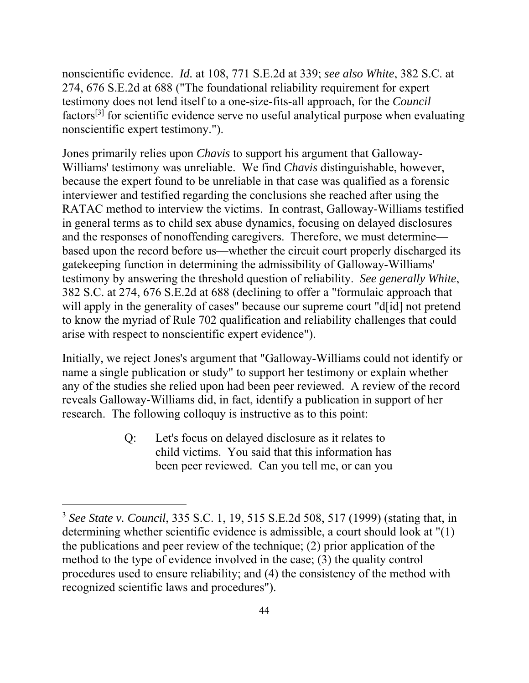nonscientific evidence. *Id.* at 108, 771 S.E.2d at 339; *see also White*, 382 S.C. at 274, 676 S.E.2d at 688 ("The foundational reliability requirement for expert testimony does not lend itself to a one-size-fits-all approach, for the *Council*  factors[3] for scientific evidence serve no useful analytical purpose when evaluating nonscientific expert testimony.").

Jones primarily relies upon *Chavis* to support his argument that Galloway-Williams' testimony was unreliable. We find *Chavis* distinguishable, however, because the expert found to be unreliable in that case was qualified as a forensic interviewer and testified regarding the conclusions she reached after using the RATAC method to interview the victims. In contrast, Galloway-Williams testified in general terms as to child sex abuse dynamics, focusing on delayed disclosures and the responses of nonoffending caregivers. Therefore, we must determine based upon the record before us—whether the circuit court properly discharged its gatekeeping function in determining the admissibility of Galloway-Williams' testimony by answering the threshold question of reliability. *See generally White*, 382 S.C. at 274, 676 S.E.2d at 688 (declining to offer a "formulaic approach that will apply in the generality of cases" because our supreme court "d<sup>[id]</sup> not pretend to know the myriad of Rule 702 qualification and reliability challenges that could arise with respect to nonscientific expert evidence").

Initially, we reject Jones's argument that "Galloway-Williams could not identify or name a single publication or study" to support her testimony or explain whether any of the studies she relied upon had been peer reviewed. A review of the record reveals Galloway-Williams did, in fact, identify a publication in support of her research. The following colloquy is instructive as to this point:

> Q: Let's focus on delayed disclosure as it relates to child victims. You said that this information has been peer reviewed. Can you tell me, or can you

 $\overline{a}$ 

<sup>3</sup>*See State v. Council*, 335 S.C. 1, 19, 515 S.E.2d 508, 517 (1999) (stating that, in determining whether scientific evidence is admissible, a court should look at "(1) the publications and peer review of the technique; (2) prior application of the method to the type of evidence involved in the case; (3) the quality control procedures used to ensure reliability; and (4) the consistency of the method with recognized scientific laws and procedures").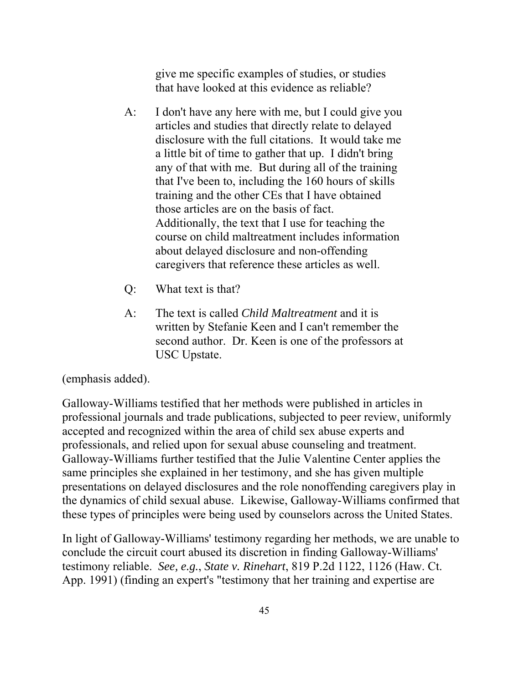give me specific examples of studies, or studies that have looked at this evidence as reliable?

- A: I don't have any here with me, but I could give you articles and studies that directly relate to delayed disclosure with the full citations. It would take me a little bit of time to gather that up. I didn't bring any of that with me. But during all of the training that I've been to, including the 160 hours of skills training and the other CEs that I have obtained those articles are on the basis of fact. Additionally, the text that I use for teaching the course on child maltreatment includes information about delayed disclosure and non-offending caregivers that reference these articles as well.
- Q: What text is that?
- A: The text is called *Child Maltreatment* and it is written by Stefanie Keen and I can't remember the second author. Dr. Keen is one of the professors at USC Upstate.

(emphasis added).

Galloway-Williams testified that her methods were published in articles in professional journals and trade publications, subjected to peer review, uniformly accepted and recognized within the area of child sex abuse experts and professionals, and relied upon for sexual abuse counseling and treatment. Galloway-Williams further testified that the Julie Valentine Center applies the same principles she explained in her testimony, and she has given multiple presentations on delayed disclosures and the role nonoffending caregivers play in the dynamics of child sexual abuse. Likewise, Galloway-Williams confirmed that these types of principles were being used by counselors across the United States.

In light of Galloway-Williams' testimony regarding her methods, we are unable to conclude the circuit court abused its discretion in finding Galloway-Williams' testimony reliable. *See, e.g.*, *State v. Rinehart*, 819 P.2d 1122, 1126 (Haw. Ct. App. 1991) (finding an expert's "testimony that her training and expertise are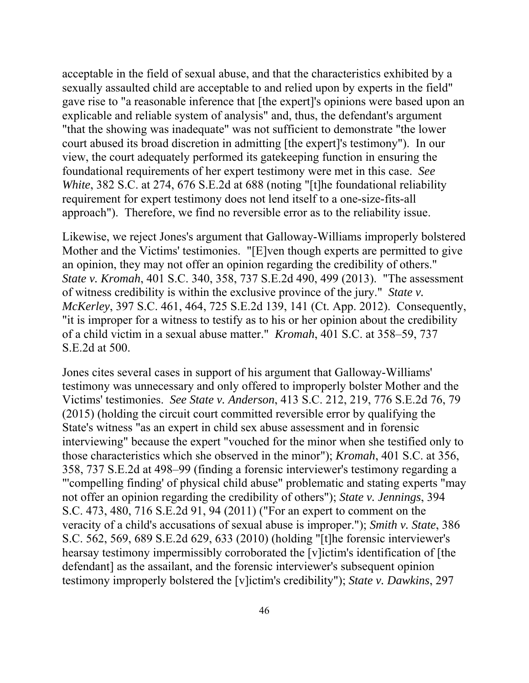acceptable in the field of sexual abuse, and that the characteristics exhibited by a sexually assaulted child are acceptable to and relied upon by experts in the field" gave rise to "a reasonable inference that [the expert]'s opinions were based upon an explicable and reliable system of analysis" and, thus, the defendant's argument "that the showing was inadequate" was not sufficient to demonstrate "the lower court abused its broad discretion in admitting [the expert]'s testimony"). In our view, the court adequately performed its gatekeeping function in ensuring the foundational requirements of her expert testimony were met in this case. *See White*, 382 S.C. at 274, 676 S.E.2d at 688 (noting "[t]he foundational reliability requirement for expert testimony does not lend itself to a one-size-fits-all approach"). Therefore, we find no reversible error as to the reliability issue.

Likewise, we reject Jones's argument that Galloway-Williams improperly bolstered Mother and the Victims' testimonies. "[E]ven though experts are permitted to give an opinion, they may not offer an opinion regarding the credibility of others." *State v. Kromah*, 401 S.C. 340, 358, 737 S.E.2d 490, 499 (2013). "The assessment of witness credibility is within the exclusive province of the jury." *State v. McKerley*, 397 S.C. 461, 464, 725 S.E.2d 139, 141 (Ct. App. 2012). Consequently, "it is improper for a witness to testify as to his or her opinion about the credibility of a child victim in a sexual abuse matter." *Kromah*, 401 S.C. at 358–59, 737 S.E.2d at 500.

Jones cites several cases in support of his argument that Galloway-Williams' testimony was unnecessary and only offered to improperly bolster Mother and the Victims' testimonies. *See State v. Anderson*, 413 S.C. 212, 219, 776 S.E.2d 76, 79 (2015) (holding the circuit court committed reversible error by qualifying the State's witness "as an expert in child sex abuse assessment and in forensic interviewing" because the expert "vouched for the minor when she testified only to those characteristics which she observed in the minor"); *Kromah*, 401 S.C. at 356, 358, 737 S.E.2d at 498–99 (finding a forensic interviewer's testimony regarding a "'compelling finding' of physical child abuse" problematic and stating experts "may not offer an opinion regarding the credibility of others"); *State v. Jennings*, 394 S.C. 473, 480, 716 S.E.2d 91, 94 (2011) ("For an expert to comment on the veracity of a child's accusations of sexual abuse is improper."); *Smith v. State*, 386 S.C. 562, 569, 689 S.E.2d 629, 633 (2010) (holding "[t]he forensic interviewer's hearsay testimony impermissibly corroborated the [v]ictim's identification of [the defendant] as the assailant, and the forensic interviewer's subsequent opinion testimony improperly bolstered the [v]ictim's credibility"); *State v. Dawkins*, 297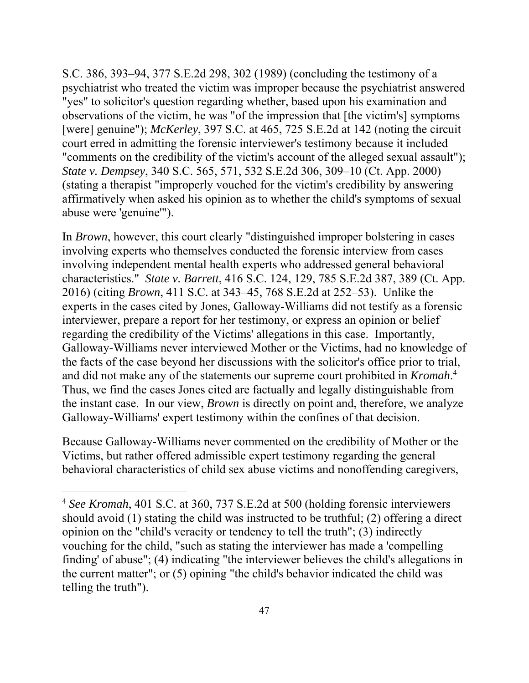affirmatively when asked his opinion as to whether the child's symptoms of sexual S.C. 386, 393–94, 377 S.E.2d 298, 302 (1989) (concluding the testimony of a psychiatrist who treated the victim was improper because the psychiatrist answered "yes" to solicitor's question regarding whether, based upon his examination and observations of the victim, he was "of the impression that [the victim's] symptoms [were] genuine"); *McKerley*, 397 S.C. at 465, 725 S.E.2d at 142 (noting the circuit court erred in admitting the forensic interviewer's testimony because it included "comments on the credibility of the victim's account of the alleged sexual assault"); *State v. Dempsey*, 340 S.C. 565, 571, 532 S.E.2d 306, 309–10 (Ct. App. 2000) (stating a therapist "improperly vouched for the victim's credibility by answering abuse were 'genuine'").

 and did not make any of the statements our supreme court prohibited in *Kromah*. 4 In *Brown*, however, this court clearly "distinguished improper bolstering in cases involving experts who themselves conducted the forensic interview from cases involving independent mental health experts who addressed general behavioral characteristics." *State v. Barrett*, 416 S.C. 124, 129, 785 S.E.2d 387, 389 (Ct. App. 2016) (citing *Brown*, 411 S.C. at 343–45, 768 S.E.2d at 252–53). Unlike the experts in the cases cited by Jones, Galloway-Williams did not testify as a forensic interviewer, prepare a report for her testimony, or express an opinion or belief regarding the credibility of the Victims' allegations in this case. Importantly, Galloway-Williams never interviewed Mother or the Victims, had no knowledge of the facts of the case beyond her discussions with the solicitor's office prior to trial, Thus, we find the cases Jones cited are factually and legally distinguishable from the instant case. In our view, *Brown* is directly on point and, therefore, we analyze Galloway-Williams' expert testimony within the confines of that decision.

Because Galloway-Williams never commented on the credibility of Mother or the Victims, but rather offered admissible expert testimony regarding the general behavioral characteristics of child sex abuse victims and nonoffending caregivers,

 $\overline{a}$ 

 <sup>4</sup>*See Kromah*, 401 S.C. at 360, 737 S.E.2d at 500 (holding forensic interviewers should avoid (1) stating the child was instructed to be truthful; (2) offering a direct opinion on the "child's veracity or tendency to tell the truth"; (3) indirectly vouching for the child, "such as stating the interviewer has made a 'compelling finding' of abuse"; (4) indicating "the interviewer believes the child's allegations in the current matter"; or (5) opining "the child's behavior indicated the child was telling the truth").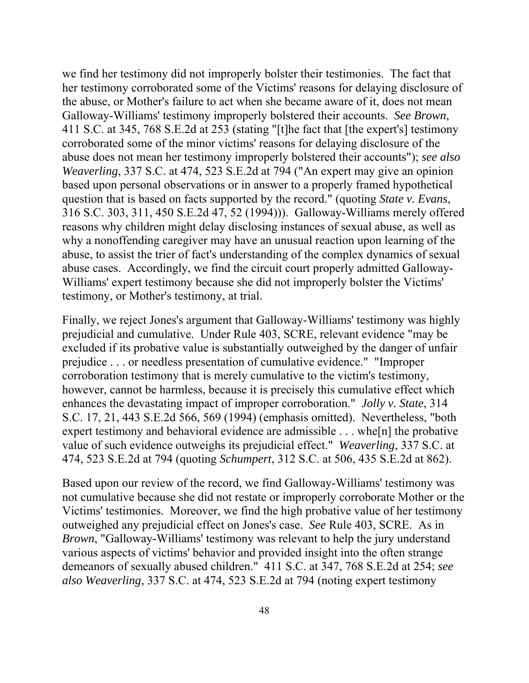we find her testimony did not improperly bolster their testimonies. The fact that her testimony corroborated some of the Victims' reasons for delaying disclosure of the abuse, or Mother's failure to act when she became aware of it, does not mean Galloway-Williams' testimony improperly bolstered their accounts. *See Brown*, 411 S.C. at 345, 768 S.E.2d at 253 (stating "[t]he fact that [the expert's] testimony corroborated some of the minor victims' reasons for delaying disclosure of the abuse does not mean her testimony improperly bolstered their accounts"); *see also Weaverling*, 337 S.C. at 474, 523 S.E.2d at 794 ("An expert may give an opinion based upon personal observations or in answer to a properly framed hypothetical question that is based on facts supported by the record." (quoting *State v. Evans*, 316 S.C. 303, 311, 450 S.E.2d 47, 52 (1994))). Galloway-Williams merely offered reasons why children might delay disclosing instances of sexual abuse, as well as why a nonoffending caregiver may have an unusual reaction upon learning of the abuse, to assist the trier of fact's understanding of the complex dynamics of sexual abuse cases. Accordingly, we find the circuit court properly admitted Galloway-Williams' expert testimony because she did not improperly bolster the Victims' testimony, or Mother's testimony, at trial.

Finally, we reject Jones's argument that Galloway-Williams' testimony was highly prejudicial and cumulative. Under Rule 403, SCRE, relevant evidence "may be excluded if its probative value is substantially outweighed by the danger of unfair prejudice . . . or needless presentation of cumulative evidence." "Improper corroboration testimony that is merely cumulative to the victim's testimony, however, cannot be harmless, because it is precisely this cumulative effect which enhances the devastating impact of improper corroboration." *Jolly v. State*, 314 S.C. 17, 21, 443 S.E.2d 566, 569 (1994) (emphasis omitted). Nevertheless, "both expert testimony and behavioral evidence are admissible . . . whe[n] the probative value of such evidence outweighs its prejudicial effect." *Weaverling*, 337 S.C. at 474, 523 S.E.2d at 794 (quoting *Schumpert*, 312 S.C. at 506, 435 S.E.2d at 862).

Based upon our review of the record, we find Galloway-Williams' testimony was not cumulative because she did not restate or improperly corroborate Mother or the Victims' testimonies. Moreover, we find the high probative value of her testimony outweighed any prejudicial effect on Jones's case. *See* Rule 403, SCRE. As in *Brown*, "Galloway-Williams' testimony was relevant to help the jury understand various aspects of victims' behavior and provided insight into the often strange demeanors of sexually abused children." 411 S.C. at 347, 768 S.E.2d at 254; *see also Weaverling*, 337 S.C. at 474, 523 S.E.2d at 794 (noting expert testimony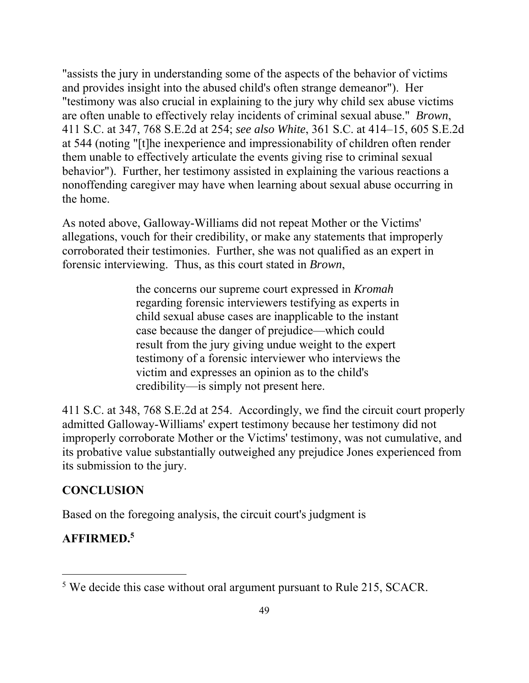"assists the jury in understanding some of the aspects of the behavior of victims and provides insight into the abused child's often strange demeanor"). Her "testimony was also crucial in explaining to the jury why child sex abuse victims are often unable to effectively relay incidents of criminal sexual abuse." *Brown*, 411 S.C. at 347, 768 S.E.2d at 254; *see also White*, 361 S.C. at 414–15, 605 S.E.2d at 544 (noting "[t]he inexperience and impressionability of children often render them unable to effectively articulate the events giving rise to criminal sexual behavior"). Further, her testimony assisted in explaining the various reactions a nonoffending caregiver may have when learning about sexual abuse occurring in the home.

As noted above, Galloway-Williams did not repeat Mother or the Victims' allegations, vouch for their credibility, or make any statements that improperly corroborated their testimonies. Further, she was not qualified as an expert in forensic interviewing. Thus, as this court stated in *Brown*,

> the concerns our supreme court expressed in *Kromah*  regarding forensic interviewers testifying as experts in child sexual abuse cases are inapplicable to the instant case because the danger of prejudice—which could result from the jury giving undue weight to the expert testimony of a forensic interviewer who interviews the victim and expresses an opinion as to the child's credibility—is simply not present here.

411 S.C. at 348, 768 S.E.2d at 254. Accordingly, we find the circuit court properly admitted Galloway-Williams' expert testimony because her testimony did not improperly corroborate Mother or the Victims' testimony, was not cumulative, and its probative value substantially outweighed any prejudice Jones experienced from its submission to the jury.

# **CONCLUSION**

Based on the foregoing analysis, the circuit court's judgment is

# **AFFIRMED.<sup>5</sup>**

 $\overline{a}$ 

<sup>&</sup>lt;sup>5</sup> We decide this case without oral argument pursuant to Rule 215, SCACR.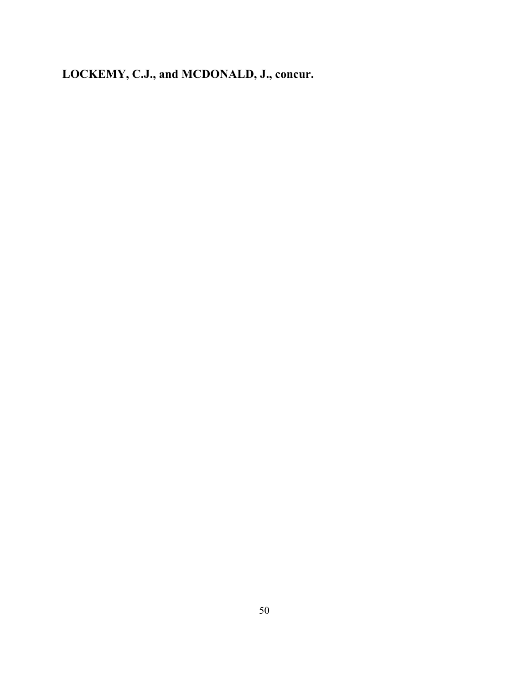**LOCKEMY, C.J., and MCDONALD, J., concur.**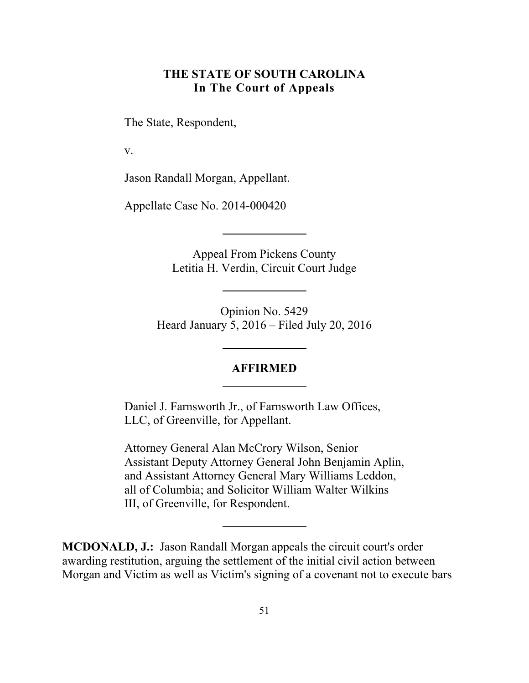# **THE STATE OF SOUTH CAROLINA In The Court of Appeals**

<span id="page-50-0"></span>The State, Respondent,

v.

Jason Randall Morgan, Appellant.

Appellate Case No. 2014-000420

Appeal From Pickens County Letitia H. Verdin, Circuit Court Judge

Opinion No. 5429 Heard January 5, 2016 – Filed July 20, 2016

#### **AFFIRMED**

Daniel J. Farnsworth Jr., of Farnsworth Law Offices, LLC, of Greenville, for Appellant.

Attorney General Alan McCrory Wilson, Senior Assistant Deputy Attorney General John Benjamin Aplin, and Assistant Attorney General Mary Williams Leddon, all of Columbia; and Solicitor William Walter Wilkins III, of Greenville, for Respondent.

**MCDONALD, J.:** Jason Randall Morgan appeals the circuit court's order awarding restitution, arguing the settlement of the initial civil action between Morgan and Victim as well as Victim's signing of a covenant not to execute bars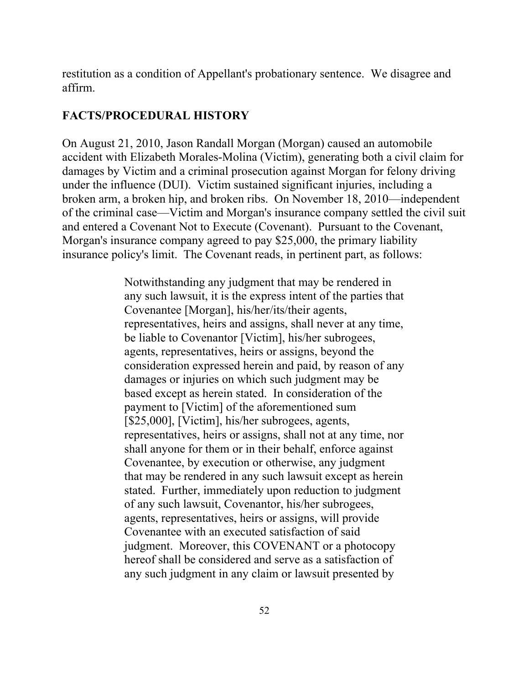restitution as a condition of Appellant's probationary sentence. We disagree and affirm.

# **FACTS/PROCEDURAL HISTORY**

On August 21, 2010, Jason Randall Morgan (Morgan) caused an automobile accident with Elizabeth Morales-Molina (Victim), generating both a civil claim for damages by Victim and a criminal prosecution against Morgan for felony driving under the influence (DUI). Victim sustained significant injuries, including a broken arm, a broken hip, and broken ribs. On November 18, 2010—independent of the criminal case—Victim and Morgan's insurance company settled the civil suit and entered a Covenant Not to Execute (Covenant). Pursuant to the Covenant, Morgan's insurance company agreed to pay \$25,000, the primary liability insurance policy's limit. The Covenant reads, in pertinent part, as follows:

> Notwithstanding any judgment that may be rendered in any such lawsuit, it is the express intent of the parties that Covenantee [Morgan], his/her/its/their agents, representatives, heirs and assigns, shall never at any time, be liable to Covenantor [Victim], his/her subrogees, agents, representatives, heirs or assigns, beyond the consideration expressed herein and paid, by reason of any damages or injuries on which such judgment may be based except as herein stated. In consideration of the payment to [Victim] of the aforementioned sum [\$25,000], [Victim], his/her subrogees, agents, representatives, heirs or assigns, shall not at any time, nor shall anyone for them or in their behalf, enforce against Covenantee, by execution or otherwise, any judgment that may be rendered in any such lawsuit except as herein stated. Further, immediately upon reduction to judgment of any such lawsuit, Covenantor, his/her subrogees, agents, representatives, heirs or assigns, will provide Covenantee with an executed satisfaction of said judgment. Moreover, this COVENANT or a photocopy hereof shall be considered and serve as a satisfaction of any such judgment in any claim or lawsuit presented by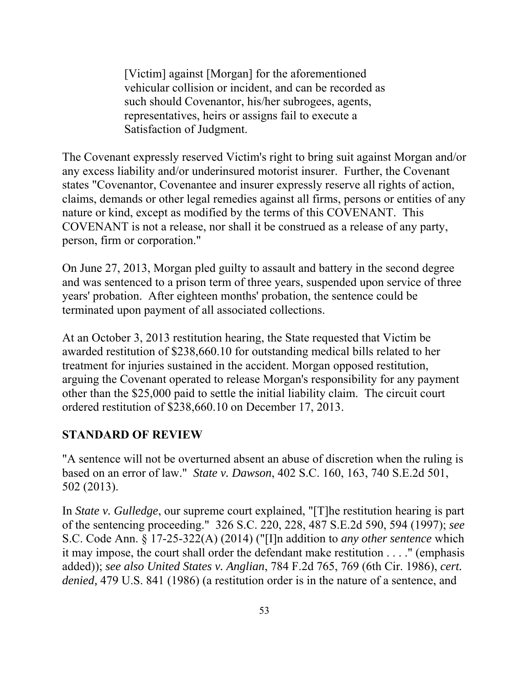[Victim] against [Morgan] for the aforementioned vehicular collision or incident, and can be recorded as such should Covenantor, his/her subrogees, agents, representatives, heirs or assigns fail to execute a Satisfaction of Judgment.

The Covenant expressly reserved Victim's right to bring suit against Morgan and/or any excess liability and/or underinsured motorist insurer. Further, the Covenant states "Covenantor, Covenantee and insurer expressly reserve all rights of action, claims, demands or other legal remedies against all firms, persons or entities of any nature or kind, except as modified by the terms of this COVENANT. This COVENANT is not a release, nor shall it be construed as a release of any party, person, firm or corporation."

On June 27, 2013, Morgan pled guilty to assault and battery in the second degree and was sentenced to a prison term of three years, suspended upon service of three years' probation. After eighteen months' probation, the sentence could be terminated upon payment of all associated collections.

At an October 3, 2013 restitution hearing, the State requested that Victim be awarded restitution of \$238,660.10 for outstanding medical bills related to her treatment for injuries sustained in the accident. Morgan opposed restitution, arguing the Covenant operated to release Morgan's responsibility for any payment other than the \$25,000 paid to settle the initial liability claim. The circuit court ordered restitution of \$238,660.10 on December 17, 2013.

# **STANDARD OF REVIEW**

"A sentence will not be overturned absent an abuse of discretion when the ruling is based on an error of law." *State v. Dawson*, 402 S.C. 160, 163, 740 S.E.2d 501, 502 (2013).

In *State v. Gulledge*, our supreme court explained, "[T]he restitution hearing is part of the sentencing proceeding." 326 S.C. 220, 228, 487 S.E.2d 590, 594 (1997); *see*  S.C. Code Ann. § 17-25-322(A) (2014) ("[I]n addition to *any other sentence* which it may impose, the court shall order the defendant make restitution . . . ." (emphasis added)); *see also United States v. Anglian*, 784 F.2d 765, 769 (6th Cir. 1986), *cert. denied,* 479 U.S. 841 (1986) (a restitution order is in the nature of a sentence, and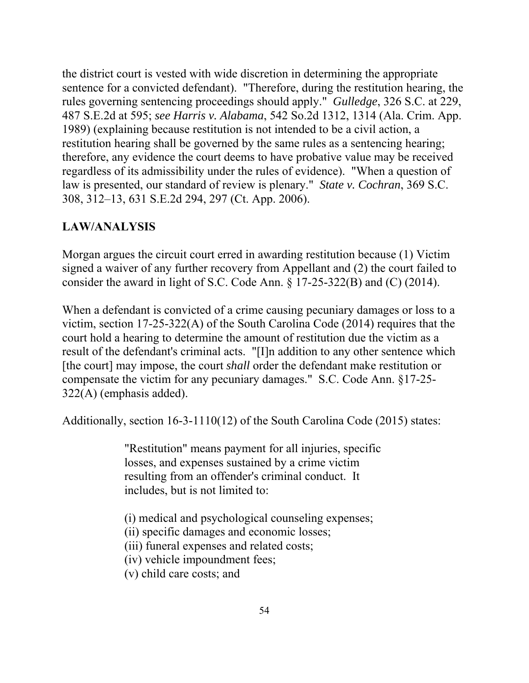the district court is vested with wide discretion in determining the appropriate sentence for a convicted defendant). "Therefore, during the restitution hearing, the rules governing sentencing proceedings should apply." *Gulledge*, 326 S.C. at 229, 487 S.E.2d at 595; *see Harris v. Alabama*, 542 So.2d 1312, 1314 (Ala. Crim. App. 1989) (explaining because restitution is not intended to be a civil action, a restitution hearing shall be governed by the same rules as a sentencing hearing; therefore, any evidence the court deems to have probative value may be received regardless of its admissibility under the rules of evidence). "When a question of law is presented, our standard of review is plenary." *State v. Cochran*, 369 S.C. 308, 312–13, 631 S.E.2d 294, 297 (Ct. App. 2006).

# **LAW/ANALYSIS**

Morgan argues the circuit court erred in awarding restitution because (1) Victim signed a waiver of any further recovery from Appellant and (2) the court failed to consider the award in light of S.C. Code Ann. § 17-25-322(B) and (C) (2014).

When a defendant is convicted of a crime causing pecuniary damages or loss to a victim, section 17-25-322(A) of the South Carolina Code (2014) requires that the court hold a hearing to determine the amount of restitution due the victim as a result of the defendant's criminal acts. "[I]n addition to any other sentence which [the court] may impose, the court *shall* order the defendant make restitution or compensate the victim for any pecuniary damages." S.C. Code Ann. §17-25- 322(A) (emphasis added).

Additionally, section 16-3-1110(12) of the South Carolina Code (2015) states:

"Restitution" means payment for all injuries, specific losses, and expenses sustained by a crime victim resulting from an offender's criminal conduct. It includes, but is not limited to:

- (i) medical and psychological counseling expenses;
- (ii) specific damages and economic losses;

(iii) funeral expenses and related costs;

- (iv) vehicle impoundment fees;
- (v) child care costs; and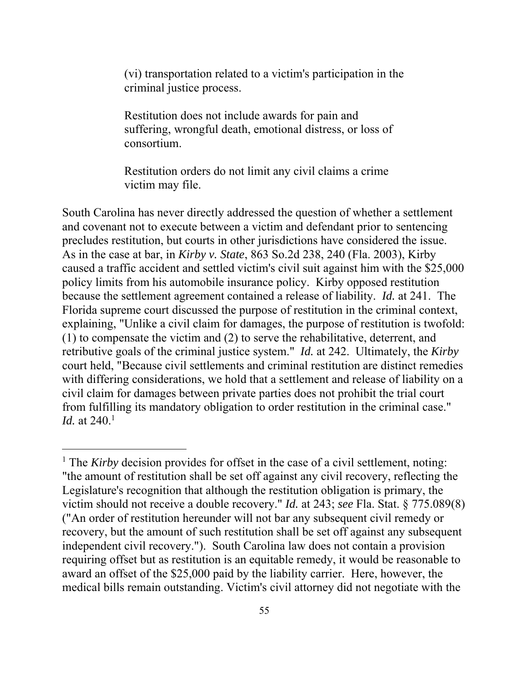(vi) transportation related to a victim's participation in the criminal justice process.

Restitution does not include awards for pain and suffering, wrongful death, emotional distress, or loss of consortium.

Restitution orders do not limit any civil claims a crime victim may file.

South Carolina has never directly addressed the question of whether a settlement and covenant not to execute between a victim and defendant prior to sentencing precludes restitution, but courts in other jurisdictions have considered the issue. As in the case at bar, in *Kirby v. State*, 863 So.2d 238, 240 (Fla. 2003), Kirby caused a traffic accident and settled victim's civil suit against him with the \$25,000 policy limits from his automobile insurance policy. Kirby opposed restitution because the settlement agreement contained a release of liability. *Id.* at 241. The Florida supreme court discussed the purpose of restitution in the criminal context, explaining, "Unlike a civil claim for damages, the purpose of restitution is twofold: (1) to compensate the victim and (2) to serve the rehabilitative, deterrent, and retributive goals of the criminal justice system." *Id.* at 242. Ultimately, the *Kirby*  court held, "Because civil settlements and criminal restitution are distinct remedies with differing considerations, we hold that a settlement and release of liability on a civil claim for damages between private parties does not prohibit the trial court from fulfilling its mandatory obligation to order restitution in the criminal case." *Id.* at 240.<sup>1</sup>

 $\overline{a}$ 

<sup>&</sup>lt;sup>1</sup> The *Kirby* decision provides for offset in the case of a civil settlement, noting: "the amount of restitution shall be set off against any civil recovery, reflecting the Legislature's recognition that although the restitution obligation is primary, the victim should not receive a double recovery." *Id.* at 243; *see* Fla. Stat. § 775.089(8) ("An order of restitution hereunder will not bar any subsequent civil remedy or recovery, but the amount of such restitution shall be set off against any subsequent independent civil recovery."). South Carolina law does not contain a provision requiring offset but as restitution is an equitable remedy, it would be reasonable to award an offset of the \$25,000 paid by the liability carrier. Here, however, the medical bills remain outstanding. Victim's civil attorney did not negotiate with the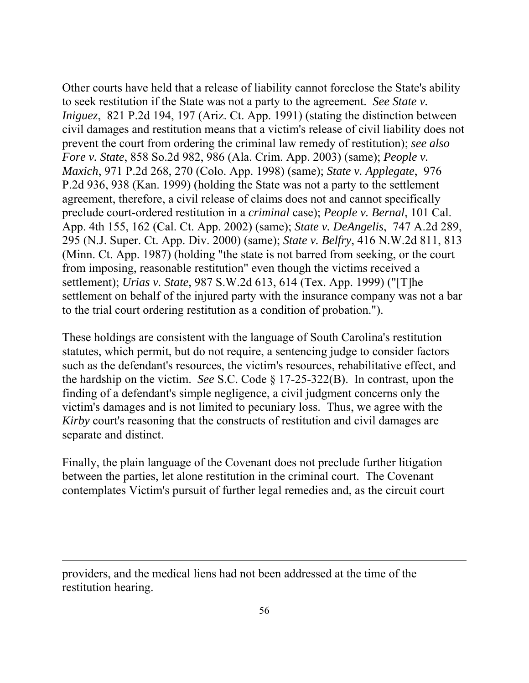Other courts have held that a release of liability cannot foreclose the State's ability to seek restitution if the State was not a party to the agreement. *See State v. Iniguez*, 821 P.2d 194, 197 (Ariz. Ct. App. 1991) (stating the distinction between civil damages and restitution means that a victim's release of civil liability does not prevent the court from ordering the criminal law remedy of restitution); *see also Fore v. State*, 858 So.2d 982, 986 (Ala. Crim. App. 2003) (same); *People v. Maxich*, 971 P.2d 268, 270 (Colo. App. 1998) (same); *State v. Applegate*, 976 P.2d 936, 938 (Kan. 1999) (holding the State was not a party to the settlement agreement, therefore, a civil release of claims does not and cannot specifically preclude court-ordered restitution in a *criminal* case); *People v. Bernal*, 101 Cal. App. 4th 155, 162 (Cal. Ct. App. 2002) (same); *State v. DeAngelis*, 747 A.2d 289, 295 (N.J. Super. Ct. App. Div. 2000) (same); *State v. Belfry*, 416 N.W.2d 811, 813 (Minn. Ct. App. 1987) (holding "the state is not barred from seeking, or the court from imposing, reasonable restitution" even though the victims received a settlement); *Urias v. State*, 987 S.W.2d 613, 614 (Tex. App. 1999) ("[T]he settlement on behalf of the injured party with the insurance company was not a bar to the trial court ordering restitution as a condition of probation.").

These holdings are consistent with the language of South Carolina's restitution statutes, which permit, but do not require, a sentencing judge to consider factors such as the defendant's resources, the victim's resources, rehabilitative effect, and the hardship on the victim. *See* S.C. Code § 17-25-322(B). In contrast, upon the finding of a defendant's simple negligence, a civil judgment concerns only the victim's damages and is not limited to pecuniary loss. Thus, we agree with the *Kirby* court's reasoning that the constructs of restitution and civil damages are separate and distinct.

Finally, the plain language of the Covenant does not preclude further litigation between the parties, let alone restitution in the criminal court. The Covenant contemplates Victim's pursuit of further legal remedies and, as the circuit court

 $\overline{a}$ 

 providers, and the medical liens had not been addressed at the time of the restitution hearing.